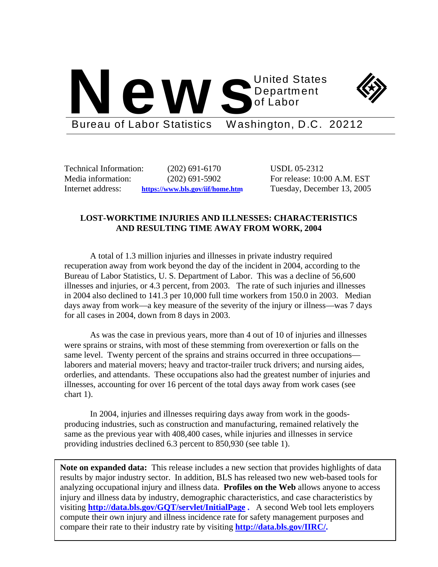



Bureau of Labor Statistics Washington, D.C. 20212

Technical Information: (202) 691-6170 USDL 05-2312

Media information: (202) 691-5902 For release: 10:00 A.M. EST Internet address: **https://www.bls.gov/iif/home.htm** Tuesday, December 13, 2005

# **LOST-WORKTIME INJURIES AND ILLNESSES: CHARACTERISTICS AND RESULTING TIME AWAY FROM WORK, 2004**

A total of 1.3 million injuries and illnesses in private industry required recuperation away from work beyond the day of the incident in 2004, according to the Bureau of Labor Statistics, U. S. Department of Labor. This was a decline of 56,600 illnesses and injuries, or 4.3 percent, from 2003. The rate of such injuries and illnesses in 2004 also declined to 141.3 per 10,000 full time workers from 150.0 in 2003. Median days away from work—a key measure of the severity of the injury or illness—was 7 days for all cases in 2004, down from 8 days in 2003.

As was the case in previous years, more than 4 out of 10 of injuries and illnesses were sprains or strains, with most of these stemming from overexertion or falls on the same level. Twenty percent of the sprains and strains occurred in three occupations laborers and material movers; heavy and tractor-trailer truck drivers; and nursing aides, orderlies, and attendants. These occupations also had the greatest number of injuries and illnesses, accounting for over 16 percent of the total days away from work cases (see chart 1).

In 2004, injuries and illnesses requiring days away from work in the goodsproducing industries, such as construction and manufacturing, remained relatively the same as the previous year with 408,400 cases, while injuries and illnesses in service providing industries declined 6.3 percent to 850,930 (see table 1).

**Note on expanded data:** This release includes a new section that provides highlights of data results by major industry sector. In addition, BLS has released two new web-based tools for analyzing occupational injury and illness data. **Profiles on the Web** allows anyone to access injury and illness data by industry, demographic characteristics, and case characteristics by visiting **http://data.bls.gov/GQT/servlet/InitialPage .** A second Web tool lets employers compute their own injury and illness incidence rate for safety management purposes and compare their rate to their industry rate by visiting **http://data.bls.gov/IIRC/.**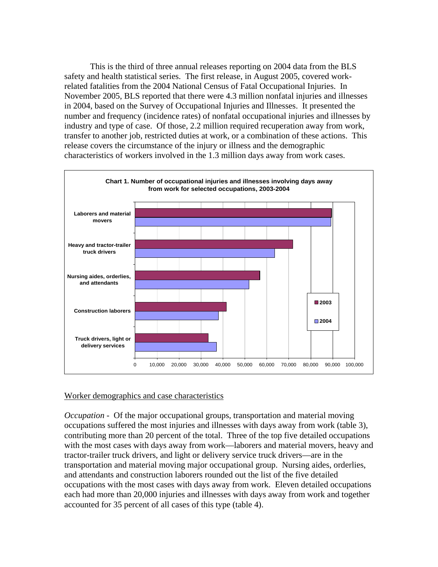This is the third of three annual releases reporting on 2004 data from the BLS safety and health statistical series. The first release, in August 2005, covered workrelated fatalities from the 2004 National Census of Fatal Occupational Injuries. In November 2005, BLS reported that there were 4.3 million nonfatal injuries and illnesses in 2004, based on the Survey of Occupational Injuries and Illnesses. It presented the number and frequency (incidence rates) of nonfatal occupational injuries and illnesses by industry and type of case. Of those, 2.2 million required recuperation away from work, transfer to another job, restricted duties at work, or a combination of these actions. This release covers the circumstance of the injury or illness and the demographic characteristics of workers involved in the 1.3 million days away from work cases.



# Worker demographics and case characteristics

*Occupation -* Of the major occupational groups, transportation and material moving occupations suffered the most injuries and illnesses with days away from work (table 3), contributing more than 20 percent of the total. Three of the top five detailed occupations with the most cases with days away from work—laborers and material movers, heavy and tractor-trailer truck drivers, and light or delivery service truck drivers—are in the transportation and material moving major occupational group. Nursing aides, orderlies, and attendants and construction laborers rounded out the list of the five detailed occupations with the most cases with days away from work. Eleven detailed occupations each had more than 20,000 injuries and illnesses with days away from work and together accounted for 35 percent of all cases of this type (table 4).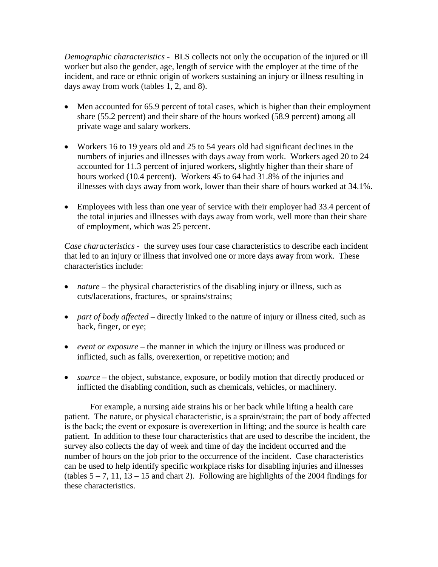*Demographic characteristics -* BLS collects not only the occupation of the injured or ill worker but also the gender, age, length of service with the employer at the time of the incident, and race or ethnic origin of workers sustaining an injury or illness resulting in days away from work (tables 1, 2, and 8).

- Men accounted for 65.9 percent of total cases, which is higher than their employment share (55.2 percent) and their share of the hours worked (58.9 percent) among all private wage and salary workers.
- Workers 16 to 19 years old and 25 to 54 years old had significant declines in the numbers of injuries and illnesses with days away from work. Workers aged 20 to 24 accounted for 11.3 percent of injured workers, slightly higher than their share of hours worked (10.4 percent). Workers 45 to 64 had 31.8% of the injuries and illnesses with days away from work, lower than their share of hours worked at 34.1%.
- Employees with less than one year of service with their employer had 33.4 percent of the total injuries and illnesses with days away from work, well more than their share of employment, which was 25 percent.

*Case characteristics* - the survey uses four case characteristics to describe each incident that led to an injury or illness that involved one or more days away from work. These characteristics include:

- *nature* the physical characteristics of the disabling injury or illness, such as cuts/lacerations, fractures, or sprains/strains;
- *part of body affected* directly linked to the nature of injury or illness cited, such as back, finger, or eye;
- *event or exposure* the manner in which the injury or illness was produced or inflicted, such as falls, overexertion, or repetitive motion; and
- *source* the object, substance, exposure, or bodily motion that directly produced or inflicted the disabling condition, such as chemicals, vehicles, or machinery.

For example, a nursing aide strains his or her back while lifting a health care patient. The nature, or physical characteristic, is a sprain/strain; the part of body affected is the back; the event or exposure is overexertion in lifting; and the source is health care patient. In addition to these four characteristics that are used to describe the incident, the survey also collects the day of week and time of day the incident occurred and the number of hours on the job prior to the occurrence of the incident. Case characteristics can be used to help identify specific workplace risks for disabling injuries and illnesses (tables  $5 - 7$ , 11, 13 – 15 and chart 2). Following are highlights of the 2004 findings for these characteristics.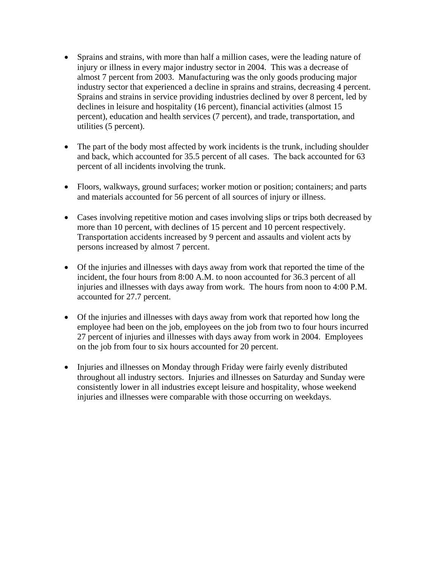- Sprains and strains, with more than half a million cases, were the leading nature of injury or illness in every major industry sector in 2004. This was a decrease of almost 7 percent from 2003. Manufacturing was the only goods producing major industry sector that experienced a decline in sprains and strains, decreasing 4 percent. Sprains and strains in service providing industries declined by over 8 percent, led by declines in leisure and hospitality (16 percent), financial activities (almost 15 percent), education and health services (7 percent), and trade, transportation, and utilities (5 percent).
- The part of the body most affected by work incidents is the trunk, including shoulder and back, which accounted for 35.5 percent of all cases. The back accounted for 63 percent of all incidents involving the trunk.
- Floors, walkways, ground surfaces; worker motion or position; containers; and parts and materials accounted for 56 percent of all sources of injury or illness.
- Cases involving repetitive motion and cases involving slips or trips both decreased by more than 10 percent, with declines of 15 percent and 10 percent respectively. Transportation accidents increased by 9 percent and assaults and violent acts by persons increased by almost 7 percent.
- Of the injuries and illnesses with days away from work that reported the time of the incident, the four hours from 8:00 A.M. to noon accounted for 36.3 percent of all injuries and illnesses with days away from work. The hours from noon to 4:00 P.M. accounted for 27.7 percent.
- Of the injuries and illnesses with days away from work that reported how long the employee had been on the job, employees on the job from two to four hours incurred 27 percent of injuries and illnesses with days away from work in 2004. Employees on the job from four to six hours accounted for 20 percent.
- Injuries and illnesses on Monday through Friday were fairly evenly distributed throughout all industry sectors. Injuries and illnesses on Saturday and Sunday were consistently lower in all industries except leisure and hospitality, whose weekend injuries and illnesses were comparable with those occurring on weekdays.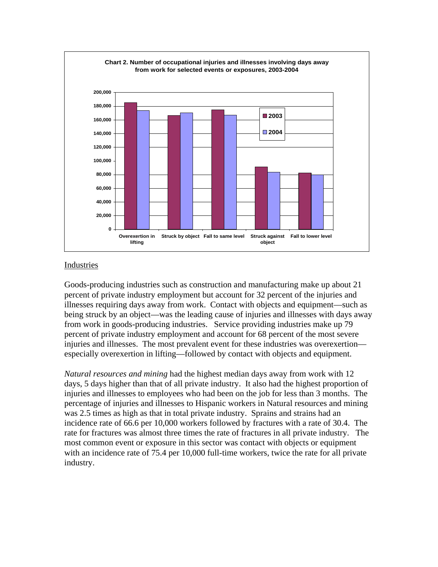

## Industries

Goods-producing industries such as construction and manufacturing make up about 21 percent of private industry employment but account for 32 percent of the injuries and illnesses requiring days away from work. Contact with objects and equipment—such as being struck by an object—was the leading cause of injuries and illnesses with days away from work in goods-producing industries. Service providing industries make up 79 percent of private industry employment and account for 68 percent of the most severe injuries and illnesses. The most prevalent event for these industries was overexertion especially overexertion in lifting—followed by contact with objects and equipment.

*Natural resources and mining* had the highest median days away from work with 12 days, 5 days higher than that of all private industry. It also had the highest proportion of injuries and illnesses to employees who had been on the job for less than 3 months. The percentage of injuries and illnesses to Hispanic workers in Natural resources and mining was 2.5 times as high as that in total private industry. Sprains and strains had an incidence rate of 66.6 per 10,000 workers followed by fractures with a rate of 30.4. The rate for fractures was almost three times the rate of fractures in all private industry. The most common event or exposure in this sector was contact with objects or equipment with an incidence rate of 75.4 per 10,000 full-time workers, twice the rate for all private industry.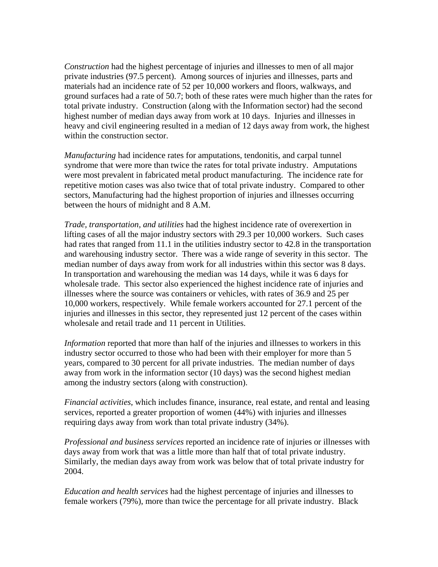*Construction* had the highest percentage of injuries and illnesses to men of all major private industries (97.5 percent). Among sources of injuries and illnesses, parts and materials had an incidence rate of 52 per 10,000 workers and floors, walkways, and ground surfaces had a rate of 50.7; both of these rates were much higher than the rates for total private industry. Construction (along with the Information sector) had the second highest number of median days away from work at 10 days. Injuries and illnesses in heavy and civil engineering resulted in a median of 12 days away from work, the highest within the construction sector.

*Manufacturing* had incidence rates for amputations, tendonitis, and carpal tunnel syndrome that were more than twice the rates for total private industry. Amputations were most prevalent in fabricated metal product manufacturing. The incidence rate for repetitive motion cases was also twice that of total private industry. Compared to other sectors, Manufacturing had the highest proportion of injuries and illnesses occurring between the hours of midnight and 8 A.M.

*Trade, transportation, and utilities* had the highest incidence rate of overexertion in lifting cases of all the major industry sectors with 29.3 per 10,000 workers. Such cases had rates that ranged from 11.1 in the utilities industry sector to 42.8 in the transportation and warehousing industry sector. There was a wide range of severity in this sector. The median number of days away from work for all industries within this sector was 8 days. In transportation and warehousing the median was 14 days, while it was 6 days for wholesale trade. This sector also experienced the highest incidence rate of injuries and illnesses where the source was containers or vehicles, with rates of 36.9 and 25 per 10,000 workers, respectively. While female workers accounted for 27.1 percent of the injuries and illnesses in this sector, they represented just 12 percent of the cases within wholesale and retail trade and 11 percent in Utilities.

*Information* reported that more than half of the injuries and illnesses to workers in this industry sector occurred to those who had been with their employer for more than 5 years, compared to 30 percent for all private industries. The median number of days away from work in the information sector (10 days) was the second highest median among the industry sectors (along with construction).

*Financial activities*, which includes finance, insurance, real estate, and rental and leasing services, reported a greater proportion of women (44%) with injuries and illnesses requiring days away from work than total private industry (34%).

*Professional and business services* reported an incidence rate of injuries or illnesses with days away from work that was a little more than half that of total private industry. Similarly, the median days away from work was below that of total private industry for 2004.

*Education and health services* had the highest percentage of injuries and illnesses to female workers (79%), more than twice the percentage for all private industry. Black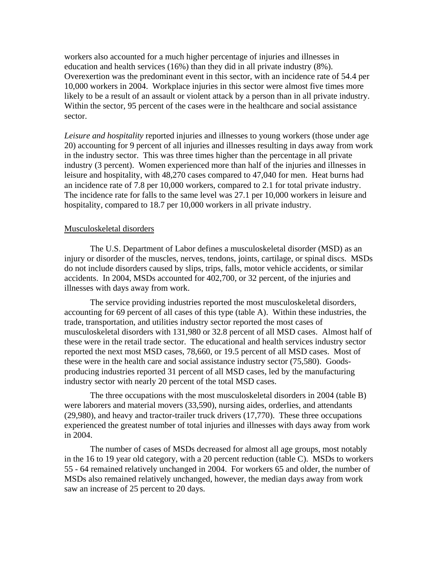workers also accounted for a much higher percentage of injuries and illnesses in education and health services (16%) than they did in all private industry (8%). Overexertion was the predominant event in this sector, with an incidence rate of 54.4 per 10,000 workers in 2004. Workplace injuries in this sector were almost five times more likely to be a result of an assault or violent attack by a person than in all private industry. Within the sector, 95 percent of the cases were in the healthcare and social assistance sector.

*Leisure and hospitality* reported injuries and illnesses to young workers (those under age 20) accounting for 9 percent of all injuries and illnesses resulting in days away from work in the industry sector. This was three times higher than the percentage in all private industry (3 percent). Women experienced more than half of the injuries and illnesses in leisure and hospitality, with 48,270 cases compared to 47,040 for men. Heat burns had an incidence rate of 7.8 per 10,000 workers, compared to 2.1 for total private industry. The incidence rate for falls to the same level was 27.1 per 10,000 workers in leisure and hospitality, compared to 18.7 per 10,000 workers in all private industry.

## Musculoskeletal disorders

 The U.S. Department of Labor defines a musculoskeletal disorder (MSD) as an injury or disorder of the muscles, nerves, tendons, joints, cartilage, or spinal discs. MSDs do not include disorders caused by slips, trips, falls, motor vehicle accidents, or similar accidents. In 2004, MSDs accounted for 402,700, or 32 percent, of the injuries and illnesses with days away from work.

 The service providing industries reported the most musculoskeletal disorders, accounting for 69 percent of all cases of this type (table A). Within these industries, the trade, transportation, and utilities industry sector reported the most cases of musculoskeletal disorders with 131,980 or 32.8 percent of all MSD cases. Almost half of these were in the retail trade sector. The educational and health services industry sector reported the next most MSD cases, 78,660, or 19.5 percent of all MSD cases. Most of these were in the health care and social assistance industry sector (75,580). Goodsproducing industries reported 31 percent of all MSD cases, led by the manufacturing industry sector with nearly 20 percent of the total MSD cases.

The three occupations with the most musculoskeletal disorders in 2004 (table B) were laborers and material movers (33,590), nursing aides, orderlies, and attendants (29,980), and heavy and tractor-trailer truck drivers (17,770). These three occupations experienced the greatest number of total injuries and illnesses with days away from work in 2004.

The number of cases of MSDs decreased for almost all age groups, most notably in the 16 to 19 year old category, with a 20 percent reduction (table C). MSDs to workers 55 - 64 remained relatively unchanged in 2004. For workers 65 and older, the number of MSDs also remained relatively unchanged, however, the median days away from work saw an increase of 25 percent to 20 days.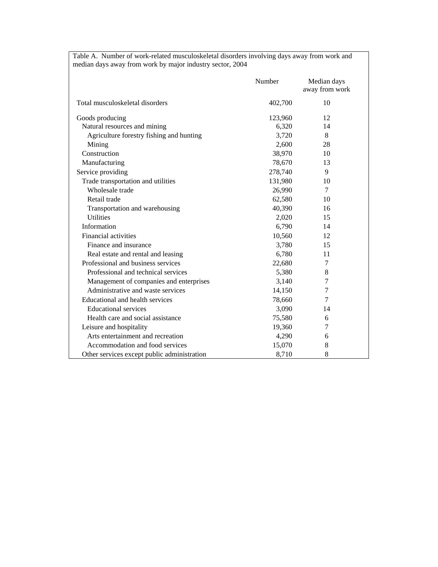|                                             | Number  | Median days<br>away from work |
|---------------------------------------------|---------|-------------------------------|
| Total musculoskeletal disorders             | 402,700 | 10                            |
| Goods producing                             | 123,960 | 12                            |
| Natural resources and mining                | 6,320   | 14                            |
| Agriculture forestry fishing and hunting    | 3,720   | 8                             |
| Mining                                      | 2,600   | 28                            |
| Construction                                | 38,970  | 10                            |
| Manufacturing                               | 78,670  | 13                            |
| Service providing                           | 278,740 | 9                             |
| Trade transportation and utilities          | 131,980 | 10                            |
| Wholesale trade                             | 26,990  | 7                             |
| Retail trade                                | 62,580  | 10                            |
| Transportation and warehousing              | 40,390  | 16                            |
| <b>Utilities</b>                            | 2,020   | 15                            |
| Information                                 | 6,790   | 14                            |
| Financial activities                        | 10,560  | 12                            |
| Finance and insurance                       | 3,780   | 15                            |
| Real estate and rental and leasing          | 6,780   | 11                            |
| Professional and business services          | 22,680  | 7                             |
| Professional and technical services         | 5,380   | 8                             |
| Management of companies and enterprises     | 3,140   | 7                             |
| Administrative and waste services           | 14,150  | 7                             |
| Educational and health services             | 78,660  | 7                             |
| <b>Educational services</b>                 | 3,090   | 14                            |
| Health care and social assistance           | 75,580  | 6                             |
| Leisure and hospitality                     | 19,360  | 7                             |
| Arts entertainment and recreation           | 4,290   | 6                             |
| Accommodation and food services             | 15,070  | 8                             |
| Other services except public administration | 8,710   | 8                             |

Table A. Number of work-related musculoskeletal disorders involving days away from work and median days away from work by major industry sector, 2004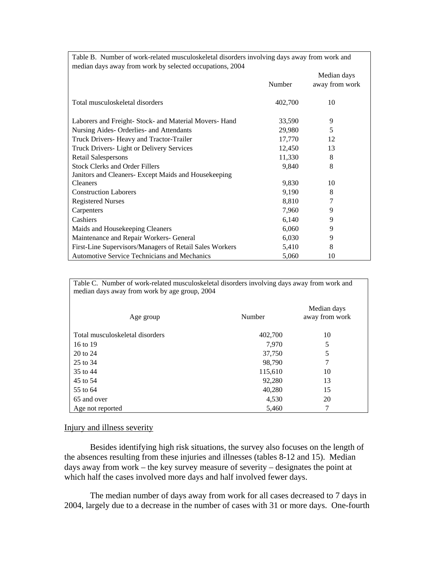| Table B. Number of work-related musculoskeletal disorders involving days away from work and |         |                |
|---------------------------------------------------------------------------------------------|---------|----------------|
| median days away from work by selected occupations, 2004                                    |         |                |
|                                                                                             |         | Median days    |
|                                                                                             | Number  | away from work |
|                                                                                             |         |                |
| Total musculoskeletal disorders                                                             | 402,700 | 10             |
|                                                                                             |         |                |
| Laborers and Freight- Stock- and Material Movers- Hand                                      | 33,590  | 9              |
| Nursing Aides- Orderlies- and Attendants                                                    | 29,980  | 5              |
| Truck Drivers- Heavy and Tractor-Trailer                                                    | 17,770  | 12             |
| Truck Drivers- Light or Delivery Services                                                   | 12,450  | 13             |
| <b>Retail Salespersons</b>                                                                  | 11,330  | 8              |
| <b>Stock Clerks and Order Fillers</b>                                                       | 9,840   | 8              |
| Janitors and Cleaners- Except Maids and Housekeeping                                        |         |                |
| <b>Cleaners</b>                                                                             | 9,830   | 10             |
| <b>Construction Laborers</b>                                                                | 9,190   | 8              |
| <b>Registered Nurses</b>                                                                    | 8,810   | 7              |
| Carpenters                                                                                  | 7,960   | 9              |
| Cashiers                                                                                    | 6,140   | 9              |
| Maids and Housekeeping Cleaners                                                             | 6,060   | 9              |
| Maintenance and Repair Workers- General                                                     | 6,030   | 9              |
| First-Line Supervisors/Managers of Retail Sales Workers                                     | 5,410   | 8              |
| Automotive Service Technicians and Mechanics                                                | 5,060   | 10             |

Table C. Number of work-related musculoskeletal disorders involving days away from work and median days away from work by age group, 2004

| Age group                       | Number  | Median days<br>away from work |
|---------------------------------|---------|-------------------------------|
| Total musculoskeletal disorders | 402,700 | 10                            |
| 16 to 19                        | 7,970   | 5                             |
| 20 to 24                        | 37,750  | 5                             |
| 25 to 34                        | 98,790  | 7                             |
| 35 to 44                        | 115,610 | 10                            |
| 45 to 54                        | 92,280  | 13                            |
| 55 to 64                        | 40,280  | 15                            |
| 65 and over                     | 4,530   | 20                            |
| Age not reported                | 5,460   |                               |

## Injury and illness severity

 Besides identifying high risk situations, the survey also focuses on the length of the absences resulting from these injuries and illnesses (tables 8-12 and 15). Median days away from work – the key survey measure of severity – designates the point at which half the cases involved more days and half involved fewer days.

 The median number of days away from work for all cases decreased to 7 days in 2004, largely due to a decrease in the number of cases with 31 or more days. One-fourth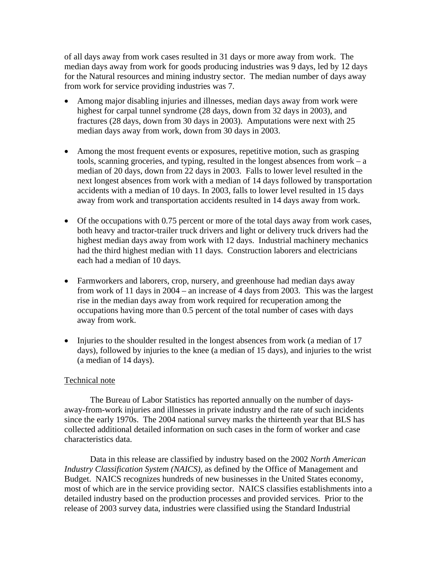of all days away from work cases resulted in 31 days or more away from work. The median days away from work for goods producing industries was 9 days, led by 12 days for the Natural resources and mining industry sector. The median number of days away from work for service providing industries was 7.

- Among major disabling injuries and illnesses, median days away from work were highest for carpal tunnel syndrome (28 days, down from 32 days in 2003), and fractures (28 days, down from 30 days in 2003). Amputations were next with 25 median days away from work, down from 30 days in 2003.
- Among the most frequent events or exposures, repetitive motion, such as grasping tools, scanning groceries, and typing, resulted in the longest absences from work – a median of 20 days, down from 22 days in 2003. Falls to lower level resulted in the next longest absences from work with a median of 14 days followed by transportation accidents with a median of 10 days. In 2003, falls to lower level resulted in 15 days away from work and transportation accidents resulted in 14 days away from work.
- Of the occupations with 0.75 percent or more of the total days away from work cases, both heavy and tractor-trailer truck drivers and light or delivery truck drivers had the highest median days away from work with 12 days. Industrial machinery mechanics had the third highest median with 11 days. Construction laborers and electricians each had a median of 10 days.
- Farmworkers and laborers, crop, nursery, and greenhouse had median days away from work of 11 days in 2004 – an increase of 4 days from 2003. This was the largest rise in the median days away from work required for recuperation among the occupations having more than 0.5 percent of the total number of cases with days away from work.
- Injuries to the shoulder resulted in the longest absences from work (a median of 17 days), followed by injuries to the knee (a median of 15 days), and injuries to the wrist (a median of 14 days).

## Technical note

The Bureau of Labor Statistics has reported annually on the number of daysaway-from-work injuries and illnesses in private industry and the rate of such incidents since the early 1970s. The 2004 national survey marks the thirteenth year that BLS has collected additional detailed information on such cases in the form of worker and case characteristics data.

Data in this release are classified by industry based on the 2002 *North American Industry Classification System (NAICS)*, as defined by the Office of Management and Budget. NAICS recognizes hundreds of new businesses in the United States economy, most of which are in the service providing sector. NAICS classifies establishments into a detailed industry based on the production processes and provided services. Prior to the release of 2003 survey data, industries were classified using the Standard Industrial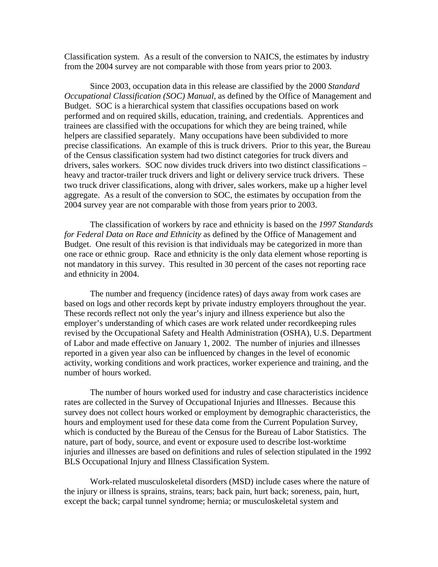Classification system. As a result of the conversion to NAICS, the estimates by industry from the 2004 survey are not comparable with those from years prior to 2003.

Since 2003, occupation data in this release are classified by the 2000 *Standard Occupational Classification (SOC) Manual*, as defined by the Office of Management and Budget. SOC is a hierarchical system that classifies occupations based on work performed and on required skills, education, training, and credentials. Apprentices and trainees are classified with the occupations for which they are being trained, while helpers are classified separately. Many occupations have been subdivided to more precise classifications. An example of this is truck drivers. Prior to this year, the Bureau of the Census classification system had two distinct categories for truck divers and drivers, sales workers. SOC now divides truck drivers into two distinct classifications – heavy and tractor-trailer truck drivers and light or delivery service truck drivers. These two truck driver classifications, along with driver, sales workers, make up a higher level aggregate. As a result of the conversion to SOC, the estimates by occupation from the 2004 survey year are not comparable with those from years prior to 2003.

The classification of workers by race and ethnicity is based on the *1997 Standards for Federal Data on Race and Ethnicity* as defined by the Office of Management and Budget. One result of this revision is that individuals may be categorized in more than one race or ethnic group. Race and ethnicity is the only data element whose reporting is not mandatory in this survey. This resulted in 30 percent of the cases not reporting race and ethnicity in 2004.

The number and frequency (incidence rates) of days away from work cases are based on logs and other records kept by private industry employers throughout the year. These records reflect not only the year's injury and illness experience but also the employer's understanding of which cases are work related under recordkeeping rules revised by the Occupational Safety and Health Administration (OSHA), U.S. Department of Labor and made effective on January 1, 2002. The number of injuries and illnesses reported in a given year also can be influenced by changes in the level of economic activity, working conditions and work practices, worker experience and training, and the number of hours worked.

The number of hours worked used for industry and case characteristics incidence rates are collected in the Survey of Occupational Injuries and Illnesses. Because this survey does not collect hours worked or employment by demographic characteristics, the hours and employment used for these data come from the Current Population Survey, which is conducted by the Bureau of the Census for the Bureau of Labor Statistics. The nature, part of body, source, and event or exposure used to describe lost-worktime injuries and illnesses are based on definitions and rules of selection stipulated in the 1992 BLS Occupational Injury and Illness Classification System.

Work-related musculoskeletal disorders (MSD) include cases where the nature of the injury or illness is sprains, strains, tears; back pain, hurt back; soreness, pain, hurt, except the back; carpal tunnel syndrome; hernia; or musculoskeletal system and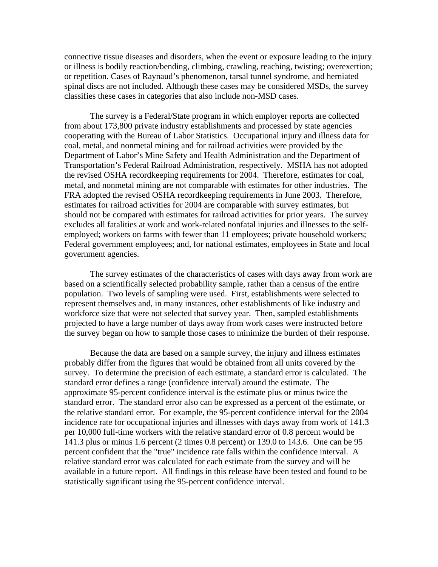connective tissue diseases and disorders, when the event or exposure leading to the injury or illness is bodily reaction/bending, climbing, crawling, reaching, twisting; overexertion; or repetition. Cases of Raynaud's phenomenon, tarsal tunnel syndrome, and herniated spinal discs are not included. Although these cases may be considered MSDs, the survey classifies these cases in categories that also include non-MSD cases.

The survey is a Federal/State program in which employer reports are collected from about 173,800 private industry establishments and processed by state agencies cooperating with the Bureau of Labor Statistics. Occupational injury and illness data for coal, metal, and nonmetal mining and for railroad activities were provided by the Department of Labor's Mine Safety and Health Administration and the Department of Transportation's Federal Railroad Administration, respectively. MSHA has not adopted the revised OSHA recordkeeping requirements for 2004. Therefore, estimates for coal, metal, and nonmetal mining are not comparable with estimates for other industries. The FRA adopted the revised OSHA recordkeeping requirements in June 2003. Therefore, estimates for railroad activities for 2004 are comparable with survey estimates, but should not be compared with estimates for railroad activities for prior years. The survey excludes all fatalities at work and work-related nonfatal injuries and illnesses to the selfemployed; workers on farms with fewer than 11 employees; private household workers; Federal government employees; and, for national estimates, employees in State and local government agencies.

The survey estimates of the characteristics of cases with days away from work are based on a scientifically selected probability sample, rather than a census of the entire population. Two levels of sampling were used. First, establishments were selected to represent themselves and, in many instances, other establishments of like industry and workforce size that were not selected that survey year. Then, sampled establishments projected to have a large number of days away from work cases were instructed before the survey began on how to sample those cases to minimize the burden of their response.

Because the data are based on a sample survey, the injury and illness estimates probably differ from the figures that would be obtained from all units covered by the survey. To determine the precision of each estimate, a standard error is calculated. The standard error defines a range (confidence interval) around the estimate. The approximate 95-percent confidence interval is the estimate plus or minus twice the standard error. The standard error also can be expressed as a percent of the estimate, or the relative standard error. For example, the 95-percent confidence interval for the 2004 incidence rate for occupational injuries and illnesses with days away from work of 141.3 per 10,000 full-time workers with the relative standard error of 0.8 percent would be 141.3 plus or minus 1.6 percent (2 times 0.8 percent) or 139.0 to 143.6. One can be 95 percent confident that the "true" incidence rate falls within the confidence interval. A relative standard error was calculated for each estimate from the survey and will be available in a future report. All findings in this release have been tested and found to be statistically significant using the 95-percent confidence interval.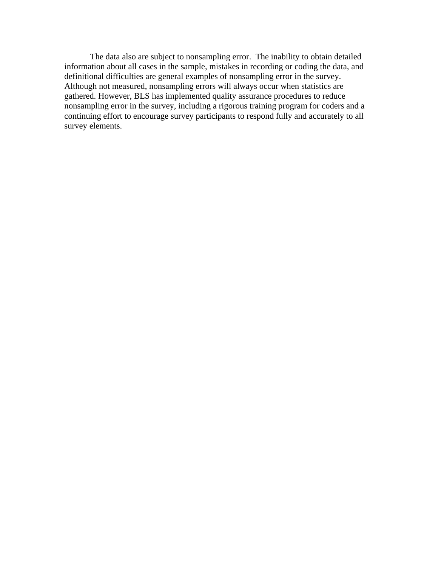The data also are subject to nonsampling error. The inability to obtain detailed information about all cases in the sample, mistakes in recording or coding the data, and definitional difficulties are general examples of nonsampling error in the survey. Although not measured, nonsampling errors will always occur when statistics are gathered. However, BLS has implemented quality assurance procedures to reduce nonsampling error in the survey, including a rigorous training program for coders and a continuing effort to encourage survey participants to respond fully and accurately to all survey elements.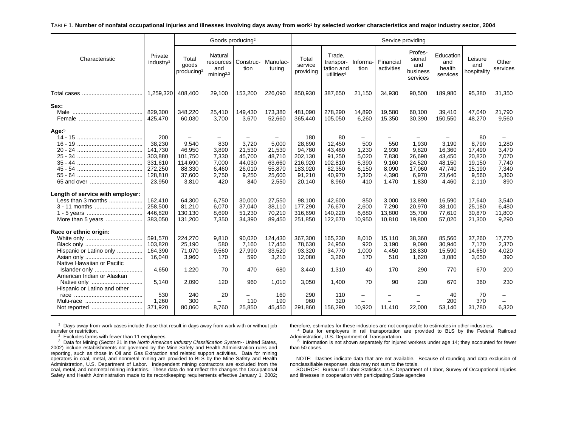#### TABLE 1. **Number of nonfatal occupational injuries and illnesses involving days away from work**1 **by selected worker characteristics and major industry sector, 2004**

|                                                                                              |                                                                                |                                                                                                |                                                         | Goods producing <sup>2</sup><br>Service providing<br>Profes-  |                                                                                              |                                                                              |                                                                          |                                                                                     |                                                           |                                                                |                                                                  |                                                                       |                                                           |
|----------------------------------------------------------------------------------------------|--------------------------------------------------------------------------------|------------------------------------------------------------------------------------------------|---------------------------------------------------------|---------------------------------------------------------------|----------------------------------------------------------------------------------------------|------------------------------------------------------------------------------|--------------------------------------------------------------------------|-------------------------------------------------------------------------------------|-----------------------------------------------------------|----------------------------------------------------------------|------------------------------------------------------------------|-----------------------------------------------------------------------|-----------------------------------------------------------|
| Characteristic                                                                               | Private<br>industry <sup>2</sup>                                               | Total<br>goods<br>producing <sup>2</sup>                                                       | Natural<br>resources<br>and<br>minin a <sup>2,3</sup>   | Construc-<br>tion                                             | Manufac-<br>turing                                                                           | Total<br>service<br>providing                                                | Trade.<br>transpor-<br>tation and<br>utilities <sup>4</sup>              | Informa-<br>tion                                                                    | Financial<br>activities                                   | sional<br>and<br>business<br>services                          | Education<br>and<br>health<br>services                           | Leisure<br>and<br>hospitality                                         | Other<br>services                                         |
|                                                                                              | 1,259,320                                                                      | 408,400                                                                                        | 29,100                                                  | 153,200                                                       | 226,090                                                                                      | 850,930                                                                      | 387,650                                                                  | 21,150                                                                              | 34,930                                                    | 90,500                                                         | 189,980                                                          | 95,380                                                                | 31,350                                                    |
| Sex:                                                                                         | 829,300<br>425,470                                                             | 348,220<br>60,030                                                                              | 25,410<br>3,700                                         | 149,430<br>3,670                                              | 173,380<br>52,660                                                                            | 481,090<br>365,440                                                           | 278,290<br>105,050                                                       | 14,890<br>6,260                                                                     | 19,580<br>15,350                                          | 60,100<br>30,390                                               | 39,410<br>150,550                                                | 47,040<br>48,270                                                      | 21,790<br>9,560                                           |
| Age: $5$                                                                                     | 200<br>38,230<br>141,730<br>303,880<br>331,610<br>272,250<br>128,810<br>23,950 | $\overline{\phantom{0}}$<br>9,540<br>46,950<br>101,750<br>114,690<br>88,330<br>37,600<br>3,810 | 830<br>3.890<br>7,330<br>7,000<br>6,460<br>2,750<br>420 | 3,720<br>21,530<br>45,700<br>44,030<br>26,010<br>9,250<br>840 | $\overline{\phantom{m}}$<br>5,000<br>21,530<br>48,710<br>63,660<br>55,870<br>25,600<br>2,550 | 180<br>28,690<br>94,780<br>202,130<br>216,920<br>183,920<br>91,210<br>20,140 | 80<br>12,450<br>43.480<br>91,250<br>102,810<br>82,350<br>40,970<br>8,960 | $\overline{\phantom{0}}$<br>500<br>1,230<br>5,020<br>5,390<br>6,150<br>2,320<br>410 | 550<br>2,930<br>7,830<br>9,160<br>8,090<br>4,390<br>1,470 | 1,930<br>9,820<br>26,690<br>24,520<br>17,060<br>6,970<br>1,830 | 3,190<br>16,360<br>43,450<br>48,150<br>47,740<br>23,640<br>4,460 | 80<br>8,790<br>17,490<br>20,820<br>19,150<br>15,190<br>9,560<br>2,110 | 1,280<br>3,470<br>7,070<br>7,740<br>7,340<br>3,360<br>890 |
| Length of service with employer:<br>Less than 3 months<br>3 - 11 months<br>More than 5 years | 162.410<br>258,500<br>446,820<br>383,050                                       | 64,300<br>81,210<br>130,130<br>131,200                                                         | 6,750<br>6,070<br>8,690<br>7,350                        | 30,000<br>37.040<br>51,230<br>34,390                          | 27,550<br>38.110<br>70,210<br>89,450                                                         | 98,100<br>177,290<br>316,690<br>251,850                                      | 42,600<br>76,670<br>140,220<br>122,670                                   | 850<br>2,600<br>6,680<br>10,950                                                     | 3,000<br>7,290<br>13,800<br>10,810                        | 13,890<br>20,970<br>35,700<br>19,800                           | 16,590<br>38,100<br>77,610<br>57,020                             | 17,640<br>25,180<br>30,870<br>21,300                                  | 3,540<br>6.480<br>11,800<br>9,290                         |
| Race or ethnic origin:<br>Hispanic or Latino only<br>Native Hawaiian or Pacific              | 591,570<br>103,820<br>164,390<br>16,040                                        | 224,270<br>25,190<br>71,070<br>3,960                                                           | 9,810<br>580<br>9,560<br>170                            | 90,020<br>7,160<br>27,990<br>590                              | 124,430<br>17,450<br>33,520<br>3,210                                                         | 367,300<br>78,630<br>93,320<br>12,080                                        | 165,230<br>24,950<br>34,770<br>3,260                                     | 8,010<br>920<br>1,000<br>170                                                        | 15,110<br>3,190<br>4,450<br>510                           | 38,360<br>9,090<br>18,830<br>1,620                             | 85,560<br>30.940<br>15,590<br>3,080                              | 37,260<br>7,170<br>14,650<br>3,050                                    | 17,770<br>2,370<br>4,020<br>390                           |
| Islander only<br>American Indian or Alaskan<br>Native only                                   | 4.650<br>5.140                                                                 | 1,220<br>2,090                                                                                 | 70<br>120                                               | 470<br>960                                                    | 680<br>1,010                                                                                 | 3,440<br>3,050                                                               | 1,310<br>1,400                                                           | 40<br>70                                                                            | 170<br>90                                                 | 290<br>230                                                     | 770<br>670                                                       | 670<br>360                                                            | 200<br>230                                                |
| Hispanic or Latino and other                                                                 | 530<br>1.260<br>371,920                                                        | 240<br>300<br>80,060                                                                           | 20<br>8,760                                             | 110<br>25,850                                                 | 160<br>190<br>45,450                                                                         | 290<br>960<br>291,860                                                        | 110<br>320<br>156,290                                                    | -<br>10,920                                                                         | 11,410                                                    | 22,000                                                         | 40<br>200<br>53,140                                              | 70<br>370<br>31,780                                                   | 6,320                                                     |

 $1$  Days-away-from-work cases include those that result in days away from work with or without job transfer or restriction.

 $2$  Excludes farms with fewer than 11 employees.

 $3$  Data for Mining (Sector 21 in the North American Industry Classification System-- United States, 2002) include establishments not governed by the Mine Safety and Health Administration rules and reporting, such as those in Oil and Gas Extraction and related support activities. Data for mining operators in coal, metal, and nonmetal mining are provided to BLS by the Mine Safety and Health Administration, U.S. Department of Labor. Independent mining contractors are excluded from the coal, metal, and nonmetal mining industries. These data do not reflect the changes the Occupational Safety and Health Administration made to its recordkeeping requirements effective January 1, 2002; therefore, estimates for these industries are not comparable to estimates in other industries.

<sup>4</sup> Data for employers in rail transportation are provided to BLS by the Federal Railroad Administration, U.S. Department of Transportation.

<sup>5</sup> Information is not shown separately for injured workers under age 14; they accounted for fewer than 50 cases.

NOTE: Dashes indicate data that are not available. Because of rounding and data exclusion of nonclassifiable responses, data may not sum to the totals.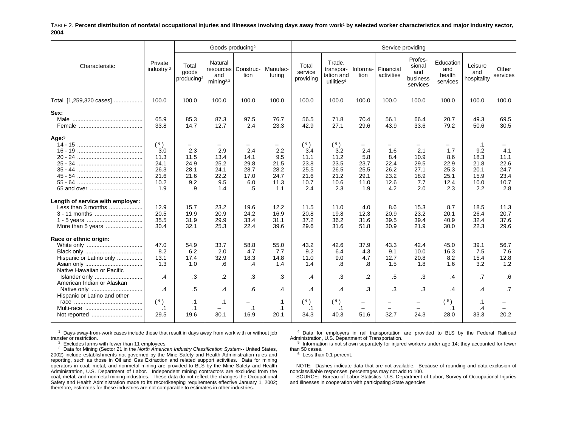#### TABLE 2. **Percent distribution of nonfatal occupational injuries and illnesses involving days away from work**1 **by selected worker characteristics and major industry sector, 2004**

|                                                                                              |                                                           |                                                                       | Goods producing <sup>2</sup>                      |                                                  |                                                                               |                                                           |                                                             |                                                                               | Service providing                                                             |                                                   |                                                                               |                                                          |                                                    |
|----------------------------------------------------------------------------------------------|-----------------------------------------------------------|-----------------------------------------------------------------------|---------------------------------------------------|--------------------------------------------------|-------------------------------------------------------------------------------|-----------------------------------------------------------|-------------------------------------------------------------|-------------------------------------------------------------------------------|-------------------------------------------------------------------------------|---------------------------------------------------|-------------------------------------------------------------------------------|----------------------------------------------------------|----------------------------------------------------|
| Characteristic                                                                               | Private<br>industry <sup>2</sup>                          | Total<br>goods<br>producing <sup>2</sup>                              | Natural<br>and<br>minin a <sup>2,3</sup>          | resources   Construc-<br>tion                    | Manufac-<br>turina                                                            | Total<br>service<br>providing                             | Trade,<br>transpor-<br>tation and<br>utilities <sup>4</sup> | Informa-<br>tion                                                              | Financial<br>activities                                                       | Profes-<br>sional<br>and<br>business<br>services  | Education<br>and<br>health<br>services                                        | Leisure<br>and<br>hospitality                            | Other<br>services                                  |
| Total [1,259,320 cases]                                                                      | 100.0                                                     | 100.0                                                                 | 100.0                                             | 100.0                                            | 100.0                                                                         | 100.0                                                     | 100.0                                                       | 100.0                                                                         | 100.0                                                                         | 100.0                                             | 100.0                                                                         | 100.0                                                    | 100.0                                              |
| Sex:                                                                                         | 65.9<br>33.8                                              | 85.3<br>14.7                                                          | 87.3<br>12.7                                      | 97.5<br>2.4                                      | 76.7<br>23.3                                                                  | 56.5<br>42.9                                              | 71.8<br>27.1                                                | 70.4<br>29.6                                                                  | 56.1<br>43.9                                                                  | 66.4<br>33.6                                      | 20.7<br>79.2                                                                  | 49.3<br>50.6                                             | 69.5<br>30.5                                       |
| Age: $5$                                                                                     | (6)<br>3.0<br>11.3<br>24.1<br>26.3<br>21.6<br>10.2<br>1.9 | $\qquad \qquad -$<br>2.3<br>11.5<br>24.9<br>28.1<br>21.6<br>9.2<br>.9 | 2.9<br>13.4<br>25.2<br>24.1<br>22.2<br>9.5<br>1.4 | 2.4<br>14.1<br>29.8<br>28.7<br>17.0<br>6.0<br>.5 | $\overline{\phantom{m}}$<br>2.2<br>9.5<br>21.5<br>28.2<br>24.7<br>11.3<br>1.1 | (6)<br>3.4<br>11.1<br>23.8<br>25.5<br>21.6<br>10.7<br>2.4 | (6)<br>3.2<br>11.2<br>23.5<br>26.5<br>21.2<br>10.6<br>2.3   | $\overline{\phantom{0}}$<br>2.4<br>5.8<br>23.7<br>25.5<br>29.1<br>11.0<br>1.9 | $\overline{\phantom{0}}$<br>1.6<br>8.4<br>22.4<br>26.2<br>23.2<br>12.6<br>4.2 | 2.1<br>10.9<br>29.5<br>27.1<br>18.9<br>7.7<br>2.0 | $\overline{\phantom{0}}$<br>1.7<br>8.6<br>22.9<br>25.3<br>25.1<br>12.4<br>2.3 | .1<br>9.2<br>18.3<br>21.8<br>20.1<br>15.9<br>10.0<br>2.2 | 4.1<br>11.1<br>22.6<br>24.7<br>23.4<br>10.7<br>2.8 |
| Length of service with employer:<br>Less than 3 months<br>3 - 11 months<br>More than 5 years | 12.9<br>20.5<br>35.5<br>30.4                              | 15.7<br>19.9<br>31.9<br>32.1                                          | 23.2<br>20.9<br>29.9<br>25.3                      | 19.6<br>24.2<br>33.4<br>22.4                     | 12.2<br>16.9<br>31.1<br>39.6                                                  | 11.5<br>20.8<br>37.2<br>29.6                              | 11.0<br>19.8<br>36.2<br>31.6                                | 4.0<br>12.3<br>31.6<br>51.8                                                   | 8.6<br>20.9<br>39.5<br>30.9                                                   | 15.3<br>23.2<br>39.4<br>21.9                      | 8.7<br>20.1<br>40.9<br>30.0                                                   | 18.5<br>26.4<br>32.4<br>22.3                             | 11.3<br>20.7<br>37.6<br>29.6                       |
| Race or ethnic origin:<br>Hispanic or Latino only<br>Native Hawaiian or Pacific              | 47.0<br>8.2<br>13.1<br>1.3                                | 54.9<br>6.2<br>17.4<br>1.0                                            | 33.7<br>2.0<br>32.9<br>.6                         | 58.8<br>4.7<br>18.3<br>.4                        | 55.0<br>7.7<br>14.8<br>1.4                                                    | 43.2<br>9.2<br>11.0<br>1.4                                | 42.6<br>6.4<br>9.0<br>.8                                    | 37.9<br>4.3<br>4.7<br>.8                                                      | 43.3<br>9.1<br>12.7<br>1.5                                                    | 42.4<br>10.0<br>20.8<br>1.8                       | 45.0<br>16.3<br>8.2<br>1.6                                                    | 39.1<br>7.5<br>15.4<br>3.2                               | 56.7<br>7.6<br>12.8<br>1.2                         |
| Islander only<br>American Indian or Alaskan<br>Native only<br>Hispanic or Latino and other   | $\overline{A}$<br>.4                                      | .3<br>.5                                                              | $\overline{2}$<br>$\cdot$                         | .3<br>.6                                         | .3<br>.4                                                                      | $\cdot$ 4<br>.4                                           | .3<br>$\cdot$                                               | $\overline{2}$<br>.3                                                          | .5<br>.3                                                                      | 3.<br>.3                                          | .4<br>.4                                                                      | $\overline{.7}$<br>.4                                    | 6.6<br>$\overline{.7}$                             |
|                                                                                              | (6)<br>.1<br>29.5                                         | $\cdot$ 1<br>$\cdot$ 1<br>19.6                                        | $\cdot$ 1<br>30.1                                 | -<br>$\cdot$ 1<br>16.9                           | $\cdot$ 1<br>$\cdot$ 1<br>20.1                                                | (6)<br>$\cdot$ 1<br>34.3                                  | (6)<br>$\cdot$ 1<br>40.3                                    | $\overline{\phantom{m}}$<br>$\equiv$<br>51.6                                  | $\overline{\phantom{0}}$<br>$\equiv$<br>32.7                                  | $\overline{\phantom{0}}$<br>$\equiv$<br>24.3      | (6)<br>$\cdot$ 1<br>28.0                                                      | $\cdot$ 1<br>.4<br>33.3                                  | 20.2                                               |

 $1$  Days-away-from-work cases include those that result in days away from work with or without job transfer or restriction.

 $2^{2}$  Excludes farms with fewer than 11 employees.

 $3$  Data for Mining (Sector 21 in the North American Industry Classification System-- United States, 2002) include establishments not governed by the Mine Safety and Health Administration rules and reporting, such as those in Oil and Gas Extraction and related support activities. Data for mining operators in coal, metal, and nonmetal mining are provided to BLS by the Mine Safety and Health Administration, U.S. Department of Labor. Independent mining contractors are excluded from the coal, metal, and nonmetal mining industries. These data do not reflect the changes the Occupational Safety and Health Administration made to its recordkeeping requirements effective January 1, 2002; therefore, estimates for these industries are not comparable to estimates in other industries.

 $<sup>4</sup>$  Data for employers in rail transportation are provided to BLS by the Federal Railroad</sup> Administration, U.S. Department of Transportation.

 $5$  Information is not shown separately for injured workers under age 14; they accounted for fewer than 50 cases.

<sup>6</sup> Less than 0.1 percent.

NOTE: Dashes indicate data that are not available. Because of rounding and data exclusion of nonclassifiable responses, percentages may not add to 100.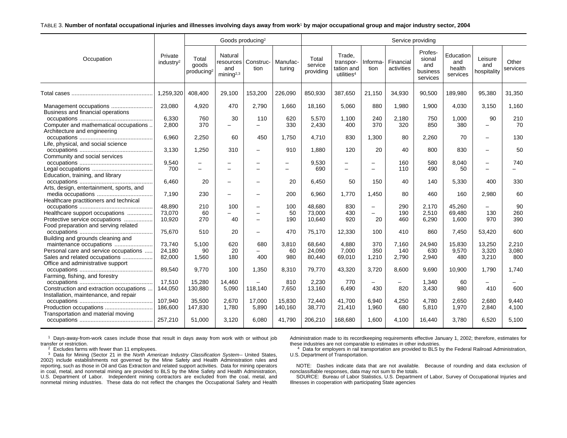#### TABLE 3. **Number of nonfatal occupational injuries and illnesses involving days away from work**1 **by major occupational group and major industry sector, 2004**

|                                                                        |                                  |                                          | Goods producing <sup>2</sup>                          |                          |                    |                               |                                                             |                                      | Service providing       |                                                  |                                        |                               |                   |
|------------------------------------------------------------------------|----------------------------------|------------------------------------------|-------------------------------------------------------|--------------------------|--------------------|-------------------------------|-------------------------------------------------------------|--------------------------------------|-------------------------|--------------------------------------------------|----------------------------------------|-------------------------------|-------------------|
| Occupation                                                             | Private<br>industry <sup>2</sup> | Total<br>goods<br>producing <sup>2</sup> | Natural<br>resources<br>and<br>minin a <sup>2,3</sup> | Construc-<br>tion        | Manufac-<br>turing | Total<br>service<br>providing | Trade.<br>transpor-<br>tation and<br>utilities <sup>4</sup> | Informa-<br>tion                     | Financial<br>activities | Profes-<br>sional<br>and<br>business<br>services | Education<br>and<br>health<br>services | Leisure<br>and<br>hospitality | Other<br>services |
|                                                                        | 1.259.320                        | 408.400                                  | 29,100                                                | 153,200                  | 226.090            | 850,930                       | 387,650                                                     | 21.150                               | 34,930                  | 90.500                                           | 189.980                                | 95,380                        | 31,350            |
| Business and financial operations                                      | 23,080                           | 4,920                                    | 470                                                   | 2.790                    | 1,660              | 18,160                        | 5,060                                                       | 880                                  | 1,980                   | 1,900                                            | 4,030                                  | 3,150                         | 1,160             |
| Computer and mathematical occupations<br>Architecture and engineering  | 6,330<br>2,800                   | 760<br>370                               | 30<br>$\sim$                                          | 110<br>-                 | 620<br>330         | 5,570<br>2,430                | 1,100<br>400                                                | 240<br>370                           | 2,180<br>320            | 750<br>850                                       | 1,000<br>380                           | 90                            | 210<br>70         |
| Life, physical, and social science                                     | 6,960                            | 2,250                                    | 60                                                    | 450                      | 1,750              | 4,710                         | 830                                                         | 1,300                                | 80                      | 2,260                                            | 70                                     | $\overline{\phantom{0}}$      | 130               |
| Community and social services                                          | 3.130                            | 1.250                                    | 310                                                   | -                        | 910                | 1.880                         | 120                                                         | 20                                   | 40                      | 800                                              | 830                                    |                               | 50                |
| Education, training, and library                                       | 9,540<br>700                     | L,<br>÷                                  |                                                       | -<br>÷                   | -<br>-             | 9,530<br>690                  | $\qquad \qquad -$<br>$\equiv$                               | $\overline{\phantom{0}}$<br>$\equiv$ | 160<br>110              | 580<br>490                                       | 8,040<br>50                            |                               | 740               |
| Arts, design, entertainment, sports, and                               | 6,460                            | 20                                       | $\overline{\phantom{0}}$                              | $\overline{\phantom{0}}$ | 20                 | 6.450                         | 50                                                          | 150                                  | 40                      | 140                                              | 5,330                                  | 400                           | 330               |
| Healthcare practitioners and technical                                 | 7,190                            | 230                                      | $\overline{\phantom{0}}$                              | L,                       | 200                | 6,960                         | 1,770                                                       | 1,450                                | 80                      | 460                                              | 160                                    | 2,980                         | 60                |
|                                                                        | 48.890                           | 210                                      | 100                                                   | -                        | 100                | 48.680                        | 830                                                         | $\qquad \qquad -$                    | 290                     | 2,170                                            | 45,260                                 |                               | 90                |
| Healthcare support occupations                                         | 73,070                           | 60                                       | $\overline{\phantom{0}}$<br>40                        | L,                       | 50                 | 73.000                        | 430                                                         | $\overline{\phantom{0}}$             | 190                     | 2,510                                            | 69.480                                 | 130<br>970                    | 260<br>390        |
| Protective service occupations<br>Food preparation and serving related | 10,920                           | 270                                      |                                                       | -                        | 190                | 10,640                        | 920                                                         | 20                                   | 460                     | 6,290                                            | 1,600                                  |                               |                   |
| Building and grounds cleaning and                                      | 75,670                           | 510                                      | 20                                                    | -                        | 470                | 75,170                        | 12,330                                                      | 100                                  | 410                     | 860                                              | 7,450                                  | 53,420                        | 600               |
|                                                                        | 73.740                           | 5.100                                    | 620                                                   | 680                      | 3,810              | 68.640                        | 4.880                                                       | 370                                  | 7.160                   | 24,940                                           | 15,830                                 | 13,250                        | 2,210             |
| Personal care and service occupations                                  | 24,180                           | 90                                       | 20                                                    |                          | 60                 | 24,090                        | 7,000                                                       | 350                                  | 140                     | 630                                              | 9,570                                  | 3,320                         | 3,080             |
| Sales and related occupations<br>Office and administrative support     | 82,000                           | 1,560                                    | 180                                                   | 400                      | 980                | 80,440                        | 69,010                                                      | 1,210                                | 2,790                   | 2,940                                            | 480                                    | 3,210                         | 800               |
| Farming, fishing, and forestry                                         | 89,540                           | 9,770                                    | 100                                                   | 1,350                    | 8,310              | 79,770                        | 43,320                                                      | 3,720                                | 8,600                   | 9,690                                            | 10,900                                 | 1.790                         | 1.740             |
| Construction and extraction occupations                                | 17,510<br>144,050                | 15,280<br>130.880                        | 14,460<br>5,090                                       | 118,140                  | 810<br>7,650       | 2,230<br>13,160               | 770<br>6,490                                                | Ξ.<br>430                            | 820                     | 1,340<br>3,430                                   | 60<br>980                              | 410                           | 600               |
| Installation, maintenance, and repair                                  |                                  |                                          |                                                       |                          |                    |                               |                                                             |                                      |                         |                                                  |                                        |                               |                   |
|                                                                        | 107,940                          | 35,500                                   | 2,670                                                 | 17,000                   | 15,830             | 72,440                        | 41,700                                                      | 6,940                                | 4,250                   | 4,780                                            | 2,650                                  | 2,680                         | 9,440             |
| Production occupations<br>Transportation and material moving           | 186,600                          | 147,830                                  | 1.780                                                 | 5,890                    | 140,160            | 38,770                        | 21,410                                                      | 1,960                                | 680                     | 5,810                                            | 1,970                                  | 2,840                         | 4,100             |
|                                                                        | 257,210                          | 51,000                                   | 3.120                                                 | 6.080                    | 41.790             | 206,210                       | 168.680                                                     | 1.600                                | 4.100                   | 16.440                                           | 3.780                                  | 6.520                         | 5.100             |

1 Days-away-from-work cases include those that result in days away from work with or without job transfer or restriction.

Administration made to its recordkeeping requirements effective January 1, 2002; therefore, estimates for these industries are not comparable to estimates in other industries.

 $2$  Excludes farms with fewer than 11 employees.

<sup>3</sup> Data for Mining (Sector 21 in the North American Industry Classification System-- United States, 2002) include establishments not governed by the Mine Safety and Health Administration rules and reporting, such as those in Oil and Gas Extraction and related support activities. Data for mining operators in coal, metal, and nonmetal mining are provided to BLS by the Mine Safety and Health Administration, U.S. Department of Labor. Independent mining contractors are excluded from the coal, metal, and nonmetal mining industries. These data do not reflect the changes the Occupational Safety and Health

4 Data for employers in rail transportation are provided to BLS by the Federal Railroad Administration, U.S. Department of Transportation.

NOTE: Dashes indicate data that are not available. Because of rounding and data exclusion of nonclassifiable responses, data may not sum to the totals.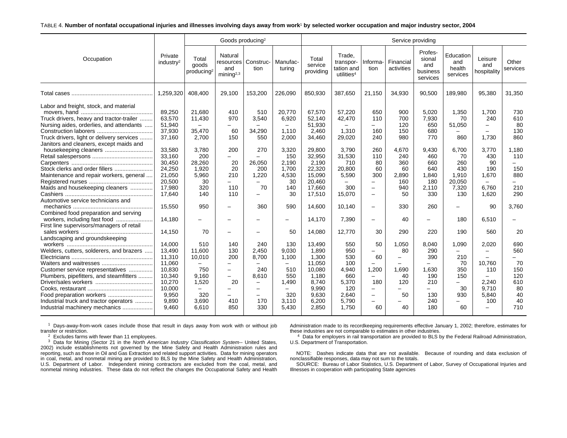#### TABLE 4. **Number of nonfatal occupational injuries and illnesses involving days away from work**1 **by selected worker occupation and major industry sector, 2004**

|                                                                                                                                                                                                                                                                                                                                                                                                                                                                                                                                                                                                                                                                                                       |                                                                                                                                                                                                                                                                |                                                                                                                                                                                                                                       | Goods producing <sup>2</sup>                                                                                                                                                                                                                                             |                                                                                                                                                                                                                                                                                                                                                         |                                                                                                                                                                                                                                         |                                                                                                                                                                                                                                                         |                                                                                                                                                                                                                                      |                                                                                                                                                                                                                                                                                                           | Service providing                                                                                                                                             |                                                                                                                                                                                                                                          |                                                                                                                                                                                                           |                                                                                                                                                                                                         |                                                                                                                                                                                         |
|-------------------------------------------------------------------------------------------------------------------------------------------------------------------------------------------------------------------------------------------------------------------------------------------------------------------------------------------------------------------------------------------------------------------------------------------------------------------------------------------------------------------------------------------------------------------------------------------------------------------------------------------------------------------------------------------------------|----------------------------------------------------------------------------------------------------------------------------------------------------------------------------------------------------------------------------------------------------------------|---------------------------------------------------------------------------------------------------------------------------------------------------------------------------------------------------------------------------------------|--------------------------------------------------------------------------------------------------------------------------------------------------------------------------------------------------------------------------------------------------------------------------|---------------------------------------------------------------------------------------------------------------------------------------------------------------------------------------------------------------------------------------------------------------------------------------------------------------------------------------------------------|-----------------------------------------------------------------------------------------------------------------------------------------------------------------------------------------------------------------------------------------|---------------------------------------------------------------------------------------------------------------------------------------------------------------------------------------------------------------------------------------------------------|--------------------------------------------------------------------------------------------------------------------------------------------------------------------------------------------------------------------------------------|-----------------------------------------------------------------------------------------------------------------------------------------------------------------------------------------------------------------------------------------------------------------------------------------------------------|---------------------------------------------------------------------------------------------------------------------------------------------------------------|------------------------------------------------------------------------------------------------------------------------------------------------------------------------------------------------------------------------------------------|-----------------------------------------------------------------------------------------------------------------------------------------------------------------------------------------------------------|---------------------------------------------------------------------------------------------------------------------------------------------------------------------------------------------------------|-----------------------------------------------------------------------------------------------------------------------------------------------------------------------------------------|
| Occupation                                                                                                                                                                                                                                                                                                                                                                                                                                                                                                                                                                                                                                                                                            | Private<br>industry <sup>2</sup>                                                                                                                                                                                                                               | Total<br>goods<br>producing <sup>2</sup>                                                                                                                                                                                              | Natural<br>resources<br>and<br>mining <sup>2,3</sup>                                                                                                                                                                                                                     | Construc-<br>tion                                                                                                                                                                                                                                                                                                                                       | Manufac-<br>turing                                                                                                                                                                                                                      | Total<br>service<br>providing                                                                                                                                                                                                                           | Trade,<br>transpor-<br>tation and<br>utilities <sup>4</sup>                                                                                                                                                                          | Informa-<br>tion                                                                                                                                                                                                                                                                                          | Financial<br>activities                                                                                                                                       | Profes-<br>sional<br>and<br>business<br>services                                                                                                                                                                                         | Education<br>and<br>health<br>services                                                                                                                                                                    | Leisure<br>and<br>hospitality                                                                                                                                                                           | Other<br>services                                                                                                                                                                       |
|                                                                                                                                                                                                                                                                                                                                                                                                                                                                                                                                                                                                                                                                                                       | 1,259,320                                                                                                                                                                                                                                                      | 408,400                                                                                                                                                                                                                               | 29,100                                                                                                                                                                                                                                                                   | 153,200                                                                                                                                                                                                                                                                                                                                                 | 226,090                                                                                                                                                                                                                                 | 850,930                                                                                                                                                                                                                                                 | 387,650                                                                                                                                                                                                                              | 21,150                                                                                                                                                                                                                                                                                                    | 34,930                                                                                                                                                        | 90,500                                                                                                                                                                                                                                   | 189,980                                                                                                                                                                                                   | 95,380                                                                                                                                                                                                  | 31,350                                                                                                                                                                                  |
| Labor and freight, stock, and material<br>Truck drivers, heavy and tractor-trailer<br>Nursing aides, orderlies, and attendants<br>Truck drivers, light or delivery services<br>Janitors and cleaners, except maids and<br>Stock clerks and order fillers<br>Maintenance and repair workers, general<br>Maids and housekeeping cleaners<br>Automotive service technicians and<br>Combined food preparation and serving<br>First line supervisors/managers of retail<br>Landscaping and groundskeeping<br>Welders, cutters, solderers, and brazers<br>Customer service representatives<br>Plumbers, pipefitters, and steamfitters<br>Food preparation workers<br>Industrial truck and tractor operators | 89,250<br>63.570<br>51,940<br>37,930<br>37,160<br>33,580<br>33,160<br>30,450<br>24,250<br>21,050<br>20,500<br>17,980<br>17.640<br>15,550<br>14,180<br>14.150<br>14,000<br>13,490<br>11,310<br>11,060<br>10,830<br>10,340<br>10,270<br>10.000<br>9.950<br>9,890 | 21,680<br>11.430<br>$\qquad \qquad -$<br>35.470<br>2,700<br>3,780<br>200<br>28,260<br>1,920<br>5,960<br>30<br>320<br>140<br>950<br>70<br>510<br>11.600<br>10,010<br>750<br>9,160<br>1,520<br>$\overline{\phantom{0}}$<br>320<br>3,690 | 410<br>970<br>$\frac{1}{2}$<br>60<br>150<br>200<br>$-$<br>20<br>20<br>210<br>$\overline{\phantom{m}}$<br>110<br>110<br>$\overline{\phantom{0}}$<br>$\overline{\phantom{0}}$<br>140<br>130<br>200<br>$\sim$<br>$\qquad \qquad -$<br>20<br>$\overline{\phantom{0}}$<br>410 | 510<br>3.540<br>$\sim$<br>34,290<br>550<br>270<br>$\qquad \qquad -$<br>26,050<br>200<br>1,220<br>$\qquad \qquad -$<br>70<br>$\overline{\phantom{0}}$<br>360<br>$\overline{\phantom{0}}$<br>$\overline{\phantom{0}}$<br>240<br>2.450<br>8,700<br>240<br>8,610<br>$\overline{\phantom{0}}$<br>$\overline{\phantom{m}}$<br>$\overline{\phantom{m}}$<br>170 | 20,770<br>6.920<br>$\overline{\phantom{0}}$<br>1.110<br>2,000<br>3,320<br>150<br>2.190<br>1.700<br>4,530<br>30<br>140<br>30<br>590<br>-<br>50<br>130<br>9.030<br>1,100<br>-<br>510<br>550<br>1,490<br>$\qquad \qquad -$<br>320<br>3,110 | 67,570<br>52,140<br>51,930<br>2.460<br>34,460<br>29.800<br>32,950<br>2,190<br>22,320<br>15,090<br>20,460<br>17,660<br>17,510<br>14.600<br>14,170<br>14,080<br>13,490<br>1.890<br>1,300<br>11,050<br>10.080<br>1,180<br>8,740<br>9.990<br>9.630<br>6,200 | 57,220<br>42.470<br>$\frac{1}{2}$<br>1,310<br>29,020<br>3.790<br>31,530<br>710<br>20,800<br>5,590<br>$-$<br>300<br>15,070<br>10.140<br>7,390<br>12,770<br>550<br>950<br>530<br>100<br>4,940<br>660<br>5,370<br>120<br>2.640<br>5,790 | 650<br>110<br>$\equiv$<br>160<br>240<br>260<br>110<br>80<br>60<br>300<br>$-$<br>$\equiv$<br>$\overline{\phantom{0}}$<br>$\overline{\phantom{0}}$<br>$\overline{\phantom{0}}$<br>30<br>50<br>$\overline{\phantom{0}}$<br>60<br>1,200<br>$\overline{\phantom{0}}$<br>180<br>$-$<br>$\overline{\phantom{0}}$ | 900<br>700<br>120<br>150<br>980<br>4,670<br>240<br>360<br>60<br>2,890<br>160<br>940<br>50<br>330<br>40<br>290<br>1,050<br>80<br>-<br>1.690<br>40<br>120<br>50 | 5,020<br>7.930<br>650<br>680<br>770<br>9,430<br>460<br>660<br>640<br>1,840<br>180<br>2.110<br>330<br>260<br>$\overline{\phantom{0}}$<br>220<br>8,040<br>290<br>390<br>$\overline{\phantom{0}}$<br>1.630<br>190<br>210<br>-<br>130<br>240 | 1,350<br>70<br>51,050<br>860<br>6.700<br>70<br>260<br>430<br>1,910<br>20,050<br>7,320<br>130<br>$\equiv$<br>180<br>190<br>1,090<br>$\overline{\phantom{0}}$<br>210<br>70<br>350<br>150<br>Ξ.<br>30<br>930 | 1.700<br>240<br>$\equiv$<br>1.730<br>3,770<br>430<br>90<br>190<br>1.670<br>6.760<br>1.620<br>90<br>6,510<br>560<br>2,020<br>10.760<br>110<br>$\overline{\phantom{0}}$<br>2,240<br>9.710<br>5.840<br>100 | 730<br>610<br>80<br>130<br>860<br>1,180<br>110<br>$-$<br>150<br>880<br>210<br>290<br>3,760<br>20<br>690<br>560<br>$\overline{\phantom{0}}$<br>70<br>150<br>120<br>610<br>80<br>40<br>40 |
| Industrial machinery mechanics                                                                                                                                                                                                                                                                                                                                                                                                                                                                                                                                                                                                                                                                        | 9.460                                                                                                                                                                                                                                                          | 6.610                                                                                                                                                                                                                                 | 850                                                                                                                                                                                                                                                                      | 330                                                                                                                                                                                                                                                                                                                                                     | 5.430                                                                                                                                                                                                                                   | 2.850                                                                                                                                                                                                                                                   | 1.750                                                                                                                                                                                                                                | 60                                                                                                                                                                                                                                                                                                        | 40                                                                                                                                                            | 180                                                                                                                                                                                                                                      | 60                                                                                                                                                                                                        | $\overline{\phantom{0}}$                                                                                                                                                                                | 710                                                                                                                                                                                     |

1 Days-away-from-work cases include those that result in days away from work with or without job transfer or restriction.

 $2$  Excludes farms with fewer than 11 employees.

<sup>3</sup> Data for Mining (Sector 21 in the North American Industry Classification System-- United States, 2002) include establishments not governed by the Mine Safety and Health Administration rules and reporting, such as those in Oil and Gas Extraction and related support activities. Data for mining operators in coal, metal, and nonmetal mining are provided to BLS by the Mine Safety and Health Administration, U.S. Department of Labor. Independent mining contractors are excluded from the coal, metal, and nonmetal mining industries. These data do not reflect the changes the Occupational Safety and Health Administration made to its recordkeeping requirements effective January 1, 2002; therefore, estimates for these industries are not comparable to estimates in other industries.

4 Data for employers in rail transportation are provided to BLS by the Federal Railroad Administration, U.S. Department of Transportation.

NOTE: Dashes indicate data that are not available. Because of rounding and data exclusion of nonclassifiable responses, data may not sum to the totals.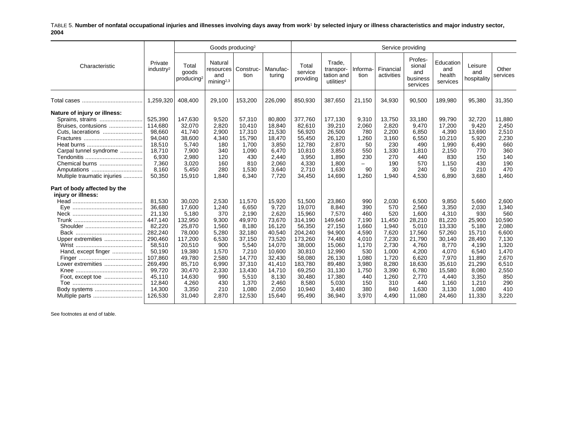#### TABLE 5. **Number of nonfatal occupational injuries and illnesses involving days away from work**1 **by selected injury or illness characteristics and major industry sector, 2004**

|                                                                                                                                                                                        |                                                                                                                                                                    |                                                                                                                                                             | Goods producing <sup>2</sup>                                                                                                       |                                                                                                                                                      |                                                                                                                                                         |                                                                                                                                                                 |                                                                                                                                                           |                                                                                                                                |                                                                                                                                       | Service providing                                                                                                                               |                                                                                                                                                     |                                                                                                                                                  |                                                                                                                                       |
|----------------------------------------------------------------------------------------------------------------------------------------------------------------------------------------|--------------------------------------------------------------------------------------------------------------------------------------------------------------------|-------------------------------------------------------------------------------------------------------------------------------------------------------------|------------------------------------------------------------------------------------------------------------------------------------|------------------------------------------------------------------------------------------------------------------------------------------------------|---------------------------------------------------------------------------------------------------------------------------------------------------------|-----------------------------------------------------------------------------------------------------------------------------------------------------------------|-----------------------------------------------------------------------------------------------------------------------------------------------------------|--------------------------------------------------------------------------------------------------------------------------------|---------------------------------------------------------------------------------------------------------------------------------------|-------------------------------------------------------------------------------------------------------------------------------------------------|-----------------------------------------------------------------------------------------------------------------------------------------------------|--------------------------------------------------------------------------------------------------------------------------------------------------|---------------------------------------------------------------------------------------------------------------------------------------|
| Characteristic                                                                                                                                                                         | Private<br>industry <sup>2</sup>                                                                                                                                   | Total<br>goods<br>producing <sup>2</sup>                                                                                                                    | Natural<br>resources<br>and<br>mining <sup>2,3</sup>                                                                               | Construc-<br>tion                                                                                                                                    | Manufac-<br>turing                                                                                                                                      | Total<br>service<br>providing                                                                                                                                   | Trade.<br>transpor-<br>tation and<br>utilities <sup>4</sup>                                                                                               | Informa-<br>tion                                                                                                               | Financial<br>activities                                                                                                               | Profes-<br>sional<br>and<br>business<br>services                                                                                                | Education<br>and<br>health<br>services                                                                                                              | Leisure<br>and<br>hospitality                                                                                                                    | Other<br>services                                                                                                                     |
|                                                                                                                                                                                        | 1,259,320                                                                                                                                                          | 408,400                                                                                                                                                     | 29,100                                                                                                                             | 153,200                                                                                                                                              | 226,090                                                                                                                                                 | 850,930                                                                                                                                                         | 387,650                                                                                                                                                   | 21,150                                                                                                                         | 34,930                                                                                                                                | 90,500                                                                                                                                          | 189,980                                                                                                                                             | 95,380                                                                                                                                           | 31,350                                                                                                                                |
| Nature of injury or illness:<br>Sprains, strains<br>Bruises, contusions<br>Cuts, lacerations<br>Carpal tunnel syndrome<br>Chemical burns<br>Amputations<br>Multiple traumatic injuries | 525,390<br>114,680<br>98,660<br>94,040<br>18,510<br>18,710<br>6,930<br>7,360<br>8,160<br>50,350                                                                    | 147,630<br>32,070<br>41,740<br>38,600<br>5,740<br>7,900<br>2,980<br>3,020<br>5,450<br>15,910                                                                | 9,520<br>2,820<br>2,900<br>4,340<br>180<br>340<br>120<br>160<br>280<br>1.840                                                       | 57,310<br>10,410<br>17,310<br>15,790<br>1,700<br>1,090<br>430<br>810<br>1,530<br>6.340                                                               | 80,800<br>18,840<br>21,530<br>18,470<br>3,850<br>6,470<br>2,440<br>2,060<br>3,640<br>7,720                                                              | 377,760<br>82,610<br>56,920<br>55,450<br>12,780<br>10,810<br>3,950<br>4,330<br>2,710<br>34,450                                                                  | 177,130<br>39,210<br>26,500<br>26,120<br>2,870<br>3,850<br>1,890<br>1.800<br>1,630<br>14,690                                                              | 9,310<br>2,060<br>780<br>1,260<br>50<br>550<br>230<br>$\overline{\phantom{0}}$<br>90<br>1,260                                  | 13,750<br>2,820<br>2,200<br>3,160<br>230<br>1,330<br>270<br>190<br>30<br>1,940                                                        | 33,180<br>9,470<br>6,850<br>6,550<br>490<br>1,810<br>440<br>570<br>240<br>4,530                                                                 | 99,790<br>17,200<br>4,390<br>10,210<br>1,990<br>2,150<br>830<br>1,150<br>50<br>6.890                                                                | 32,720<br>9,420<br>13,690<br>5,920<br>6,490<br>770<br>150<br>430<br>210<br>3,680                                                                 | 11,880<br>2,450<br>2,510<br>2,230<br>660<br>360<br>140<br>190<br>470<br>1.460                                                         |
| Part of body affected by the<br>injury or illness:<br>Upper extremities<br>Hand, except finger<br>Lower extremities<br>Body systems<br>Multiple parts                                  | 81,530<br>36,680<br>21,130<br>447,140<br>82,220<br>282,240<br>290,460<br>58,510<br>50,190<br>107,860<br>269,490<br>99,720<br>45,110<br>12,840<br>14,300<br>126,530 | 30.020<br>17,600<br>5,180<br>132,950<br>25,870<br>78,000<br>117,200<br>20,510<br>19,380<br>49,780<br>85,710<br>30,470<br>14,630<br>4,260<br>3,350<br>31,040 | 2,530<br>1.240<br>370<br>9,300<br>1,560<br>5.280<br>6,530<br>900<br>1,570<br>2,580<br>6,990<br>2,330<br>990<br>430<br>210<br>2,870 | 11,570<br>6.650<br>2,190<br>49,970<br>8,180<br>32,180<br>37,150<br>5,540<br>7,210<br>14,770<br>37,310<br>13,430<br>5,510<br>1,370<br>1,080<br>12,530 | 15,920<br>9.720<br>2,620<br>73,670<br>16,120<br>40,540<br>73,520<br>14,070<br>10,600<br>32,430<br>41,410<br>14,710<br>8,130<br>2,460<br>2,050<br>15,640 | 51.500<br>19.070<br>15,960<br>314,190<br>56,350<br>204,240<br>173,260<br>38,000<br>30,810<br>58,080<br>183,780<br>69,250<br>30,480<br>8,580<br>10,940<br>95,490 | 23,860<br>8.840<br>7,570<br>149,640<br>27,150<br>94,900<br>74,480<br>15,060<br>12,990<br>26,130<br>89,480<br>31.130<br>17,380<br>5,030<br>3,480<br>36,940 | 990<br>390<br>460<br>7,190<br>1,660<br>4,590<br>4,010<br>1,170<br>530<br>1,080<br>3,980<br>1,750<br>440<br>150<br>380<br>3,970 | 2,030<br>570<br>520<br>11,450<br>1,940<br>7,620<br>7,230<br>2,730<br>1,000<br>1,720<br>8,280<br>3,390<br>1,260<br>310<br>840<br>4,490 | 6,500<br>2,560<br>1,600<br>28,210<br>5,010<br>17,560<br>21,790<br>4,760<br>4,200<br>6,620<br>18,630<br>6,780<br>2,770<br>440<br>1,630<br>11,080 | 9,850<br>3,350<br>4,310<br>81,220<br>13,330<br>57,260<br>30,140<br>8,770<br>4,070<br>7,970<br>35,610<br>15,580<br>4,440<br>1,160<br>3,130<br>24,460 | 5,660<br>2,030<br>930<br>25,900<br>5,180<br>15,710<br>28,490<br>4.190<br>6,540<br>11,890<br>21,290<br>8,080<br>3,350<br>1,210<br>1,080<br>11,330 | 2,600<br>1,340<br>560<br>10,590<br>2,080<br>6,600<br>7,130<br>1,320<br>1,470<br>2,670<br>6,510<br>2,550<br>850<br>290<br>410<br>3,220 |

See footnotes at end of table.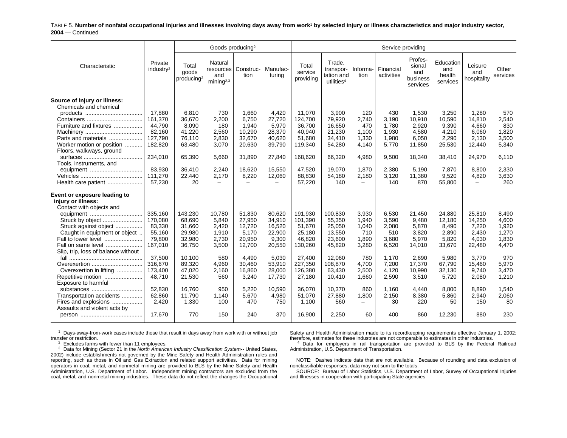TABLE 5. **Number of nonfatal occupational injuries and illnesses involving days away from work**1 **by selected injury or illness characteristics and major industry sector, 2004** — Continued

|                                                             |                                                           | Goods producing <sup>2</sup>                        |                                                         |                                                         |                                                             |                                                             |                                                  | Service providing                                |                                                      |                                                       |                                                       |                                                    |
|-------------------------------------------------------------|-----------------------------------------------------------|-----------------------------------------------------|---------------------------------------------------------|---------------------------------------------------------|-------------------------------------------------------------|-------------------------------------------------------------|--------------------------------------------------|--------------------------------------------------|------------------------------------------------------|-------------------------------------------------------|-------------------------------------------------------|----------------------------------------------------|
| Private<br>industry <sup>2</sup>                            | Total<br>goods<br>producing <sup>2</sup>                  | Natural<br>and<br>mining <sup>2,3</sup>             | tion                                                    | Manufac-<br>turina                                      | Total<br>service<br>providing                               | Trade,<br>transpor-<br>tation and<br>utilities <sup>4</sup> | Informa-<br>tion                                 | Financial<br>activities                          | Profes-<br>sional<br>and<br>business<br>services     | Education<br>and<br>health<br>services                | Leisure<br>and<br>hospitality                         | Other<br>services                                  |
| 17,880<br>161,370                                           | 6,810<br>36,670                                           | 730<br>2,200<br>180                                 | 1,660<br>6.750                                          | 4,420<br>27,720                                         | 11,070<br>124,700                                           | 3,900<br>79,920                                             | 120<br>2,740<br>470                              | 430<br>3.190                                     | 1,530<br>10,910                                      | 3,250<br>10.590                                       | 1,280<br>14,810<br>4.660                              | 570<br>2,540<br>830                                |
| 82,160<br>127,790<br>182,820                                | 41,220<br>76,110<br>63,480                                | 2,560<br>2,830<br>3,070                             | 10,290<br>32,670<br>20,630                              | 28,370<br>40,620<br>39,790                              | 40,940<br>51,680<br>119,340                                 | 21,230<br>34,410<br>54,280                                  | 1,100<br>1,330<br>4,140                          | 1,930<br>1,980<br>5,770                          | 4,580<br>6,050<br>11,850                             | 4,210<br>2,290<br>25,530                              | 6,060<br>2,130<br>12,440                              | 1,820<br>3,500<br>5,340                            |
| 234.010<br>83,930<br>111,270                                | 36,410<br>22,440                                          | 2,240<br>2.170                                      | 18,620<br>8,220                                         | 15,550<br>12,060<br>$\equiv$                            | 47,520<br>88,830                                            | 19,070<br>54,180                                            | 1,870<br>2,180<br>$\qquad \qquad -$              | 2,380<br>3,120                                   | 5,190<br>11,380                                      | 7,870<br>9,520                                        | 8,800<br>4,820<br>$\equiv$                            | 6.110<br>2,330<br>3,630<br>260                     |
|                                                             |                                                           |                                                     |                                                         |                                                         |                                                             |                                                             |                                                  |                                                  |                                                      |                                                       |                                                       |                                                    |
| 335,160<br>170,080<br>83,330<br>55,160<br>79,800<br>167,010 | 143,230<br>68,690<br>31,660<br>29,980<br>32,980<br>36,750 | 10,780<br>5,840<br>2,420<br>1,910<br>2,730<br>3,500 | 51,830<br>27,950<br>12,720<br>5,170<br>20,950<br>12,700 | 80,620<br>34,910<br>16,520<br>22,900<br>9,300<br>20,550 | 191,930<br>101,390<br>51,670<br>25,180<br>46,820<br>130,260 | 100,830<br>55,350<br>25,050<br>13,550<br>23,600<br>45,820   | 3,930<br>1,940<br>1,040<br>710<br>1,890<br>3,280 | 6,530<br>3,590<br>2,080<br>510<br>3,680<br>6,520 | 21,450<br>9,480<br>5,870<br>3.820<br>5,970<br>14,010 | 24,880<br>12,180<br>8,490<br>2,890<br>5,820<br>33,670 | 25,810<br>14,250<br>7,220<br>2,430<br>4,030<br>22,480 | 8,490<br>4,600<br>1,920<br>1,270<br>1,830<br>4,470 |
| 37,500<br>316.670<br>173,400<br>48,710                      | 10,100<br>89,320<br>47,020<br>21,530                      | 580<br>4,960<br>2,160<br>560                        | 4,490<br>30.460<br>16,860<br>3,240                      | 5,030<br>53,910<br>28,000<br>17,730                     | 27,400<br>227,350<br>126,380<br>27,180                      | 12,060<br>108.870<br>63,430<br>10,410                       | 780<br>4,700<br>2,500<br>1,660                   | 1,170<br>7,200<br>4,120<br>2,590                 | 2,690<br>17,370<br>10,990<br>3,510                   | 5,980<br>67.790<br>32,130<br>5,720                    | 3,770<br>15,460<br>9,740<br>2,080                     | 970<br>5,970<br>3,470<br>1,210                     |
| 52.830<br>62,860<br>2,420<br>17,670                         | 16,760<br>11,790<br>1,330<br>770                          | 950<br>1.140<br>100<br>150                          | 5,220<br>5,670<br>470<br>240                            | 10,590<br>4,980<br>750<br>370                           | 36.070<br>51,070<br>1,100<br>16,900                         | 10.370<br>27,880<br>560<br>2,250                            | 860<br>1,800<br>$\qquad \qquad -$<br>60          | 1.160<br>2,150<br>30<br>400                      | 4,440<br>8,380<br>220<br>860                         | 8.800<br>5,860<br>50<br>12,230                        | 8.890<br>2,940<br>150<br>880                          | 1,540<br>2,060<br>80<br>230                        |
|                                                             | 44,790<br>57,230                                          | 8,090<br>65,390<br>20                               | 5.660                                                   | resources   Construc-<br>1,940<br>31.890                | 5,970<br>27,840                                             | 36,700<br>168.620<br>57,220                                 | 16,650<br>66.320<br>140                          | 4,980                                            | 1,780<br>9.500<br>140                                | 2,920<br>18.340<br>870                                | 9,390<br>38,410<br>55,800                             | 24,970                                             |

 $1$  Days-away-from-work cases include those that result in days away from work with or without job transfer or restriction.

Safety and Health Administration made to its recordkeeping requirements effective January 1, 2002; therefore, estimates for these industries are not comparable to estimates in other industries.  $<sup>4</sup>$  Data for employers in rail transportation are provided to BLS by the Federal Railroad</sup>

Administration, U.S. Department of Transportation.

 $2^{2}$  Excludes farms with fewer than 11 employees.

 $3$  Data for Mining (Sector 21 in the North American Industry Classification System-- United States, 2002) include establishments not governed by the Mine Safety and Health Administration rules and reporting, such as those in Oil and Gas Extraction and related support activities. Data for mining operators in coal, metal, and nonmetal mining are provided to BLS by the Mine Safety and Health Administration, U.S. Department of Labor. Independent mining contractors are excluded from the coal, metal, and nonmetal mining industries. These data do not reflect the changes the Occupational

NOTE: Dashes indicate data that are not available. Because of rounding and data exclusion of nonclassifiable responses, data may not sum to the totals.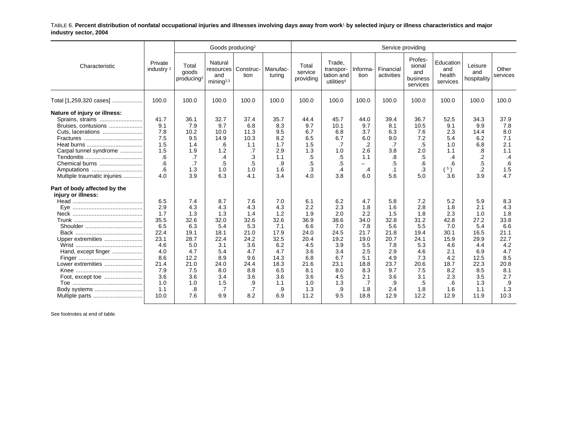TABLE 6. **Percent distribution of nonfatal occupational injuries and illnesses involving days away from work**1 **by selected injury or illness characteristics and major industry sector, 2004**

|                                                    |                                  |                                          | Goods producing <sup>2</sup>                   |                   |                    |                               |                                                             |                          | Service providing       |                                                  |                                        |                               |                   |
|----------------------------------------------------|----------------------------------|------------------------------------------|------------------------------------------------|-------------------|--------------------|-------------------------------|-------------------------------------------------------------|--------------------------|-------------------------|--------------------------------------------------|----------------------------------------|-------------------------------|-------------------|
| Characteristic                                     | Private<br>industry <sup>2</sup> | Total<br>goods<br>producing <sup>2</sup> | Natural<br>resources<br>and<br>mining $^{2,3}$ | Construc-<br>tion | Manufac-<br>turing | Total<br>service<br>providing | Trade.<br>transpor-<br>tation and<br>utilities <sup>4</sup> | Informa-<br>tion         | Financial<br>activities | Profes-<br>sional<br>and<br>business<br>services | Education<br>and<br>health<br>services | Leisure<br>and<br>hospitality | Other<br>services |
| Total [1,259,320 cases]                            | 100.0                            | 100.0                                    | 100.0                                          | 100.0             | 100.0              | 100.0                         | 100.0                                                       | 100.0                    | 100.0                   | 100.0                                            | 100.0                                  | 100.0                         | 100.0             |
| Nature of injury or illness:<br>Sprains, strains   | 41.7                             | 36.1                                     | 32.7                                           | 37.4              | 35.7               | 44.4                          | 45.7                                                        | 44.0                     | 39.4                    | 36.7                                             | 52.5                                   | 34.3                          | 37.9              |
| Bruises, contusions                                | 9.1                              | 7.9                                      | 9.7                                            | 6.8               | 8.3                | 9.7                           | 10.1                                                        | 9.7                      | 8.1                     | 10.5                                             | 9.1                                    | 9.9                           | 7.8               |
| Cuts, lacerations                                  | 7.8                              | 10.2                                     | 10.0                                           | 11.3              | 9.5                | 6.7                           | 6.8                                                         | 3.7                      | 6.3                     | 7.6                                              | 2.3                                    | 14.4                          | 8.0               |
|                                                    | 7.5                              | 9.5                                      | 14.9                                           | 10.3              | 8.2                | 6.5                           | 6.7                                                         | 6.0                      | 9.0                     | 7.2                                              | 5.4                                    | 6.2                           | 7.1               |
|                                                    | 1.5                              | 1.4                                      | .6                                             | 1.1               | 1.7                | 1.5                           | .7                                                          | .2                       | .7                      | .5                                               | 1.0                                    | 6.8                           | 2.1               |
| Carpal tunnel syndrome                             | 1.5                              | 1.9                                      | 1.2                                            | .7                | 2.9                | 1.3                           | 1.0                                                         | 2.6                      | 3.8                     | 2.0                                              | 1.1                                    | .8                            | 1.1               |
|                                                    | .6                               | .7                                       | .4                                             | .3                | 1.1                | .5                            | .5                                                          | 1.1                      | .8                      | .5                                               | $\cdot$                                | .2                            | .4                |
| Chemical burns                                     | .6                               | .7                                       | $.5\,$                                         | .5                | .9                 | .5                            | $.5\,$                                                      | $\overline{\phantom{m}}$ | .5                      | .6                                               | .6                                     | .5                            | .6                |
| Amputations                                        | .6                               | 1.3                                      | 1.0                                            | 1.0               | 1.6                | .3                            | .4                                                          | .4                       | $\cdot$ 1               | .3                                               | (5)                                    | .2                            | 1.5               |
| Multiple traumatic injuries                        | 4.0                              | 3.9                                      | 6.3                                            | 4.1               | 3.4                | 4.0                           | 3.8                                                         | 6.0                      | 5.6                     | 5.0                                              | 3.6                                    | 3.9                           | 4.7               |
| Part of body affected by the<br>injury or illness: |                                  |                                          |                                                |                   |                    |                               |                                                             |                          |                         |                                                  |                                        |                               |                   |
|                                                    | 6.5                              | 7.4                                      | 8.7                                            | 7.6               | 7.0                | 6.1                           | 6.2                                                         | 4.7                      | 5.8                     | 7.2                                              | 5.2                                    | 5.9                           | 8.3               |
|                                                    | 2.9                              | 4.3                                      | 4.3                                            | 4.3               | 4.3                | 2.2                           | 2.3                                                         | 1.8                      | 1.6                     | 2.8                                              | 1.8                                    | 2.1                           | 4.3               |
|                                                    | 1.7                              | 1.3                                      | 1.3                                            | 1.4               | 1.2                | 1.9                           | 2.0                                                         | 2.2                      | 1.5                     | 1.8                                              | 2.3                                    | 1.0                           | 1.8               |
|                                                    | 35.5                             | 32.6                                     | 32.0                                           | 32.6              | 32.6               | 36.9                          | 38.6                                                        | 34.0                     | 32.8                    | 31.2                                             | 42.8                                   | 27.2                          | 33.8              |
|                                                    | 6.5                              | 6.3                                      | 5.4                                            | 5.3               | 7.1                | 6.6                           | 7.0                                                         | 7.8                      | 5.6                     | 5.5                                              | 7.0                                    | 5.4                           | 6.6               |
|                                                    | 22.4                             | 19.1                                     | 18.1                                           | 21.0              | 17.9               | 24.0                          | 24.5                                                        | 21.7                     | 21.8                    | 19.4                                             | 30.1                                   | 16.5                          | 21.1              |
| Upper extremities                                  | 23.1                             | 28.7                                     | 22.4                                           | 24.2              | 32.5               | 20.4                          | 19.2                                                        | 19.0                     | 20.7                    | 24.1                                             | 15.9                                   | 29.9                          | 22.7              |
|                                                    | 4.6                              | 5.0                                      | 3.1                                            | 3.6               | 6.2                | 4.5                           | 3.9                                                         | 5.5                      | 7.8                     | 5.3                                              | 4.6                                    | 4.4                           | 4.2               |
| Hand, except finger                                | 4.0                              | 4.7                                      | 5.4                                            | 4.7               | 4.7                | 3.6                           | 3.4                                                         | 2.5                      | 2.9                     | 4.6                                              | 2.1                                    | 6.9                           | 4.7               |
|                                                    | 8.6                              | 12.2                                     | 8.9                                            | 9.6               | 14.3               | 6.8                           | 6.7                                                         | 5.1                      | 4.9                     | 7.3                                              | 4.2                                    | 12.5                          | 8.5               |
| Lower extremities                                  | 21.4                             | 21.0                                     | 24.0                                           | 24.4              | 18.3               | 21.6                          | 23.1                                                        | 18.8                     | 23.7                    | 20.6                                             | 18.7                                   | 22.3                          | 20.8              |
|                                                    | 7.9                              | 7.5                                      | 8.0                                            | 8.8               | 6.5                | 8.1                           | 8.0                                                         | 8.3                      | 9.7                     | 7.5                                              | 8.2                                    | 8.5                           | 8.1               |
| Foot, except toe                                   | 3.6                              | 3.6                                      | 3.4                                            | 3.6               | 3.6                | 3.6                           | 4.5                                                         | 2.1                      | 3.6                     | 3.1                                              | 2.3                                    | 3.5                           | 2.7               |
|                                                    | 1.0                              | 1.0                                      | 1.5                                            | .9                | 1.1                | 1.0                           | 1.3                                                         | .7                       | .9                      | .5                                               | .6                                     | 1.3                           | .9                |
| Body systems                                       | 1.1<br>10.0                      | .8<br>7.6                                | .7<br>9.9                                      | .7<br>8.2         | .9<br>6.9          | 1.3<br>11.2                   | $.9\,$<br>9.5                                               | 1.8<br>18.8              | 2.4<br>12.9             | 1.8<br>12.2                                      | 1.6<br>12.9                            | 1.1<br>11.9                   | 1.3<br>10.3       |
|                                                    |                                  |                                          |                                                |                   |                    |                               |                                                             |                          |                         |                                                  |                                        |                               |                   |

See footnotes at end of table.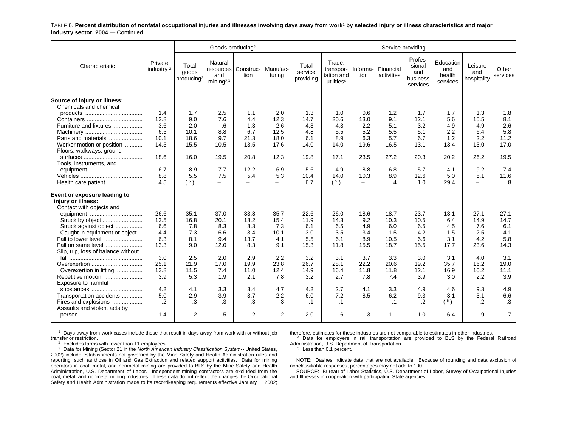TABLE 6. **Percent distribution of nonfatal occupational injuries and illnesses involving days away from work**1 **by selected injury or illness characteristics and major industry sector, 2004** — Continued

|                                                        |                                  |                                          | Goods producing <sup>2</sup>                          |                          |                    |                               |                                                             |                          | Service providing       |                                                  |                                        |                               |                   |
|--------------------------------------------------------|----------------------------------|------------------------------------------|-------------------------------------------------------|--------------------------|--------------------|-------------------------------|-------------------------------------------------------------|--------------------------|-------------------------|--------------------------------------------------|----------------------------------------|-------------------------------|-------------------|
| Characteristic                                         | Private<br>industry <sup>2</sup> | Total<br>goods<br>producing <sup>2</sup> | Natural<br>resources<br>and<br>minin a <sup>2,3</sup> | Construc-<br>tion        | Manufac-<br>turina | Total<br>service<br>providing | Trade.<br>transpor-<br>tation and<br>utilities <sup>4</sup> | Informa-<br>tion         | Financial<br>activities | Profes-<br>sional<br>and<br>business<br>services | Education<br>and<br>health<br>services | Leisure<br>and<br>hospitality | Other<br>services |
| Source of injury or illness:<br>Chemicals and chemical |                                  |                                          |                                                       |                          |                    |                               |                                                             |                          |                         |                                                  |                                        |                               |                   |
|                                                        | 1.4                              | 1.7                                      | 2.5                                                   | 1.1                      | 2.0                | 1.3                           | 1.0                                                         | 0.6                      | 1.2                     | 1.7                                              | 1.7                                    | 1.3                           | 1.8               |
|                                                        | 12.8                             | 9.0                                      | 7.6                                                   | 4.4                      | 12.3               | 14.7                          | 20.6                                                        | 13.0                     | 9.1                     | 12.1                                             | 5.6                                    | 15.5                          | 8.1               |
| Furniture and fixtures                                 | 3.6                              | 2.0                                      | .6                                                    | 1.3                      | 2.6                | 4.3                           | 4.3                                                         | 2.2                      | 5.1                     | 3.2                                              | 4.9                                    | 4.9                           | 2.6               |
|                                                        | 6.5                              | 10.1                                     | 8.8                                                   | 6.7                      | 12.5               | 4.8                           | 5.5                                                         | 5.2                      | 5.5                     | 5.1                                              | 2.2                                    | 6.4                           | 5.8               |
| Parts and materials                                    | 10.1                             | 18.6                                     | 9.7                                                   | 21.3                     | 18.0               | 6.1                           | 8.9                                                         | 6.3                      | 5.7                     | 6.7                                              | 1.2                                    | 2.2                           | 11.2              |
| Worker motion or position                              | 14.5                             | 15.5                                     | 10.5                                                  | 13.5                     | 17.6               | 14.0                          | 14.0                                                        | 19.6                     | 16.5                    | 13.1                                             | 13.4                                   | 13.0                          | 17.0              |
| Floors, walkways, ground                               |                                  |                                          |                                                       |                          |                    |                               |                                                             |                          |                         |                                                  |                                        |                               |                   |
|                                                        | 18.6                             | 16.0                                     | 19.5                                                  | 20.8                     | 12.3               | 19.8                          | 17.1                                                        | 23.5                     | 27.2                    | 20.3                                             | 20.2                                   | 26.2                          | 19.5              |
| Tools, instruments, and                                | 6.7                              | 8.9                                      | 7.7                                                   | 12.2                     | 6.9                | 5.6                           | 4.9                                                         | 8.8                      | 6.8                     | 5.7                                              | 4.1                                    | 9.2                           | 7.4               |
|                                                        | 8.8                              | 5.5                                      | 7.5                                                   | 5.4                      | 5.3                | 10.4                          | 14.0                                                        | 10.3                     | 8.9                     | 12.6                                             | 5.0                                    | 5.1                           | 11.6              |
| Health care patient                                    | 4.5                              | (5)                                      | $\equiv$                                              | $\overline{\phantom{0}}$ | Ξ.                 | 6.7                           | (5)                                                         | $-$                      | .4                      | 1.0                                              | 29.4                                   | $\equiv$                      | $\boldsymbol{.8}$ |
|                                                        |                                  |                                          |                                                       |                          |                    |                               |                                                             |                          |                         |                                                  |                                        |                               |                   |
| Event or exposure leading to                           |                                  |                                          |                                                       |                          |                    |                               |                                                             |                          |                         |                                                  |                                        |                               |                   |
| injury or illness:                                     |                                  |                                          |                                                       |                          |                    |                               |                                                             |                          |                         |                                                  |                                        |                               |                   |
| Contact with objects and                               |                                  |                                          |                                                       |                          |                    |                               |                                                             |                          |                         |                                                  |                                        |                               |                   |
|                                                        | 26.6                             | 35.1                                     | 37.0                                                  | 33.8                     | 35.7               | 22.6                          | 26.0                                                        | 18.6                     | 18.7                    | 23.7                                             | 13.1                                   | 27.1                          | 27.1              |
| Struck by object                                       | 13.5                             | 16.8                                     | 20.1                                                  | 18.2                     | 15.4               | 11.9                          | 14.3                                                        | 9.2                      | 10.3                    | 10.5                                             | 6.4                                    | 14.9                          | 14.7              |
| Struck against object                                  | 6.6                              | 7.8                                      | 8.3                                                   | 8.3                      | 7.3                | 6.1                           | 6.5                                                         | 4.9                      | 6.0                     | 6.5                                              | 4.5                                    | 7.6                           | 6.1               |
| Caught in equipment or object.                         | 4.4                              | 7.3                                      | 6.6                                                   | 3.4                      | 10.1               | 3.0                           | 3.5                                                         | 3.4                      | 1.5                     | 4.2                                              | 1.5                                    | 2.5                           | 4.1               |
| Fall to lower level                                    | 6.3                              | 8.1                                      | 9.4                                                   | 13.7                     | 4.1                | 5.5                           | 6.1                                                         | 8.9                      | 10.5                    | 6.6                                              | 3.1                                    | 4.2                           | 5.8               |
| Fall on same level                                     | 13.3                             | 9.0                                      | 12.0                                                  | 8.3                      | 9.1                | 15.3                          | 11.8                                                        | 15.5                     | 18.7                    | 15.5                                             | 17.7                                   | 23.6                          | 14.3              |
| Slip, trip, loss of balance without                    |                                  |                                          |                                                       |                          |                    |                               |                                                             |                          |                         |                                                  |                                        |                               |                   |
|                                                        | 3.0                              | 2.5                                      | 2.0                                                   | 2.9                      | 2.2                | 3.2                           | 3.1                                                         | 3.7                      | 3.3                     | 3.0                                              | 3.1                                    | 4.0                           | 3.1               |
| Overexertion                                           | 25.1                             | 21.9                                     | 17.0                                                  | 19.9                     | 23.8               | 26.7                          | 28.1                                                        | 22.2                     | 20.6                    | 19.2                                             | 35.7                                   | 16.2                          | 19.0              |
| Overexertion in lifting                                | 13.8                             | 11.5                                     | 7.4                                                   | 11.0                     | 12.4               | 14.9                          | 16.4                                                        | 11.8                     | 11.8                    | 12.1                                             | 16.9                                   | 10.2                          | 11.1              |
| Repetitive motion                                      | 3.9                              | 5.3                                      | 1.9                                                   | 2.1                      | 7.8                | 3.2                           | 2.7                                                         | 7.8                      | 7.4                     | 3.9                                              | 3.0                                    | 2.2                           | 3.9               |
| Exposure to harmful                                    | 4.2                              | 4.1                                      | 3.3                                                   | 3.4                      | 4.7                | 4.2                           | 2.7                                                         |                          | 3.3                     | 4.9                                              |                                        | 9.3                           | 4.9               |
| substances                                             |                                  |                                          |                                                       | 3.7                      |                    | 6.0                           |                                                             | 4.1<br>8.5               | 6.2                     |                                                  | 4.6                                    | 3.1                           | 6.6               |
| Transportation accidents<br>Fires and explosions       | 5.0<br>.2                        | 2.9<br>.3                                | 3.9<br>.3                                             | .3                       | 2.2<br>.3          | $\cdot$ 1                     | 7.2<br>$\cdot$ 1                                            | $\overline{\phantom{0}}$ | $\cdot$ 1               | 9.3<br>$\cdot$                                   | 3.1                                    | .2                            | .3                |
| Assaults and violent acts by                           |                                  |                                          |                                                       |                          |                    |                               |                                                             |                          |                         |                                                  | (5)                                    |                               |                   |
|                                                        | 1.4                              | $\cdot$                                  | .5                                                    | .2                       | .2                 | 2.0                           | .6                                                          | .3                       | 1.1                     | 1.0                                              | 6.4                                    | .9                            | $\cdot$ 7         |
|                                                        |                                  |                                          |                                                       |                          |                    |                               |                                                             |                          |                         |                                                  |                                        |                               |                   |

 $1$  Days-away-from-work cases include those that result in days away from work with or without job transfer or restriction.

 $2^{2}$  Excludes farms with fewer than 11 employees.

 $3$  Data for Mining (Sector 21 in the North American Industry Classification System-- United States, 2002) include establishments not governed by the Mine Safety and Health Administration rules and reporting, such as those in Oil and Gas Extraction and related support activities. Data for mining operators in coal, metal, and nonmetal mining are provided to BLS by the Mine Safety and Health Administration, U.S. Department of Labor. Independent mining contractors are excluded from the coal, metal, and nonmetal mining industries. These data do not reflect the changes the Occupational Safety and Health Administration made to its recordkeeping requirements effective January 1, 2002;

therefore, estimates for these industries are not comparable to estimates in other industries.

4 Data for employers in rail transportation are provided to BLS by the Federal Railroad Administration, U.S. Department of Transportation.

<sup>5</sup> Less than 0.1 percent.

NOTE: Dashes indicate data that are not available. Because of rounding and data exclusion of nonclassifiable responses, percentages may not add to 100.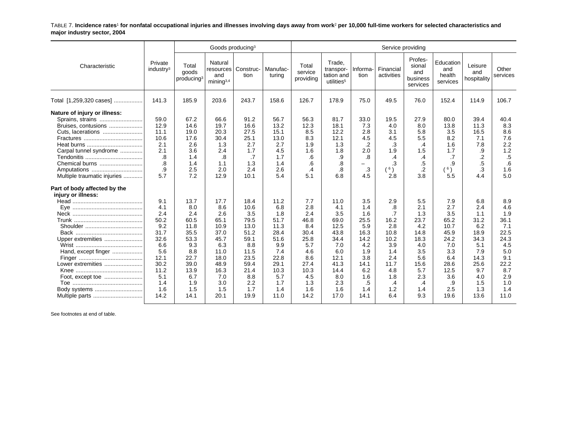TABLE 7. **Incidence rates**1 **for nonfatal occupational injuries and illnesses involving days away from work**2 **per 10,000 full-time workers for selected characteristics and major industry sector, 2004**

|                                                    |                                  |                                          | Goods producing <sup>3</sup>                |                   |                    |                               |                                                             |                  | Service providing       |                                                  |                                        |                               |                   |
|----------------------------------------------------|----------------------------------|------------------------------------------|---------------------------------------------|-------------------|--------------------|-------------------------------|-------------------------------------------------------------|------------------|-------------------------|--------------------------------------------------|----------------------------------------|-------------------------------|-------------------|
| Characteristic                                     | Private<br>industry <sup>3</sup> | Total<br>goods<br>producing <sup>3</sup> | Natural<br>resources<br>and<br>mining $3,4$ | Construc-<br>tion | Manufac-<br>turing | Total<br>service<br>providing | Trade.<br>transpor-<br>tation and<br>utilities <sup>5</sup> | Informa-<br>tion | Financial<br>activities | Profes-<br>sional<br>and<br>business<br>services | Education<br>and<br>health<br>services | Leisure<br>and<br>hospitality | Other<br>services |
| Total [1,259,320 cases]                            | 141.3                            | 185.9                                    | 203.6                                       | 243.7             | 158.6              | 126.7                         | 178.9                                                       | 75.0             | 49.5                    | 76.0                                             | 152.4                                  | 114.9                         | 106.7             |
| Nature of injury or illness:<br>Sprains, strains   | 59.0                             | 67.2                                     | 66.6                                        | 91.2              | 56.7               | 56.3                          | 81.7                                                        | 33.0             | 19.5                    | 27.9                                             | 80.0                                   | 39.4                          | 40.4              |
| Bruises, contusions                                | 12.9                             | 14.6                                     | 19.7                                        | 16.6              | 13.2               | 12.3                          | 18.1                                                        | 7.3              | 4.0                     | 8.0                                              | 13.8                                   | 11.3                          | 8.3               |
| Cuts, lacerations                                  | 11.1                             | 19.0                                     | 20.3                                        | 27.5              | 15.1               | 8.5                           | 12.2                                                        | 2.8              | 3.1                     | 5.8                                              | 3.5                                    | 16.5                          | 8.6               |
|                                                    | 10.6                             | 17.6                                     | 30.4                                        | 25.1              | 13.0               | 8.3                           | 12.1                                                        | 4.5              | 4.5                     | 5.5                                              | 8.2                                    | 7.1                           | 7.6               |
|                                                    | 2.1                              | 2.6                                      | 1.3                                         | 2.7               | 2.7                | 1.9                           | 1.3                                                         | .2               | .3                      | .4                                               | 1.6                                    | 7.8                           | 2.2               |
| Carpal tunnel syndrome                             | 2.1                              | 3.6                                      | 2.4                                         | 1.7               | 4.5                | 1.6                           | 1.8                                                         | 2.0              | 1.9                     | 1.5                                              | 1.7                                    | .9                            | 1.2               |
|                                                    | .8                               | 1.4                                      | .8                                          | .7                | 1.7                | .6                            | .9                                                          | .8               | $\cdot$                 | .4                                               | .7                                     | .2                            | .5                |
| Chemical burns                                     | $\overline{8}$                   | 1.4                                      | 1.1                                         | 1.3               | 1.4                | .6                            | .8                                                          | $\equiv$         | .3                      | .5                                               | .9                                     | .5                            | .6                |
| Amputations                                        | .9                               | 2.5                                      | 2.0                                         | 2.4               | 2.6                | $\overline{.4}$               | .8                                                          | .3               | $^6)$                   | $\cdot$                                          | (6)                                    | .3                            | 1.6               |
| Multiple traumatic injuries                        | 5.7                              | 7.2                                      | 12.9                                        | 10.1              | 5.4                | 5.1                           | 6.8                                                         | 4.5              | 2.8                     | 3.8                                              | 5.5                                    | 4.4                           | 5.0               |
| Part of body affected by the<br>injury or illness: |                                  |                                          |                                             |                   |                    |                               |                                                             |                  |                         |                                                  |                                        |                               |                   |
|                                                    | 9.1                              | 13.7                                     | 17.7                                        | 18.4              | 11.2               | 7.7                           | 11.0                                                        | 3.5              | 2.9                     | 5.5                                              | 7.9                                    | 6.8                           | 8.9               |
|                                                    | 4.1                              | 8.0                                      | 8.6                                         | 10.6              | 6.8                | 2.8                           | 4.1                                                         | 1.4              | .8                      | 2.1                                              | 2.7                                    | 2.4                           | 4.6               |
|                                                    | 2.4                              | 2.4                                      | 2.6                                         | 3.5               | 1.8                | 2.4                           | 3.5                                                         | 1.6              | .7                      | 1.3                                              | 3.5                                    | 1.1                           | 1.9               |
|                                                    | 50.2                             | 60.5                                     | 65.1                                        | 79.5              | 51.7               | 46.8                          | 69.0                                                        | 25.5             | 16.2                    | 23.7                                             | 65.2                                   | 31.2                          | 36.1              |
|                                                    | 9.2                              | 11.8                                     | 10.9                                        | 13.0              | 11.3               | 8.4                           | 12.5                                                        | 5.9              | 2.8                     | 4.2                                              | 10.7                                   | 6.2                           | 7.1               |
|                                                    | 31.7                             | 35.5                                     | 37.0                                        | 51.2              | 28.4               | 30.4                          | 43.8                                                        | 16.3             | 10.8                    | 14.8                                             | 45.9                                   | 18.9                          | 22.5              |
| Upper extremities                                  | 32.6                             | 53.3                                     | 45.7                                        | 59.1              | 51.6               | 25.8                          | 34.4                                                        | 14.2             | 10.2                    | 18.3                                             | 24.2                                   | 34.3                          | 24.3              |
|                                                    | 6.6                              | 9.3                                      | 6.3                                         | 8.8               | 9.9                | 5.7                           | 7.0                                                         | 4.2              | 3.9                     | 4.0                                              | 7.0                                    | 5.1                           | 4.5               |
| Hand, except finger                                | 5.6                              | 8.8                                      | 11.0                                        | 11.5              | 7.4                | 4.6                           | 6.0                                                         | 1.9              | 1.4                     | 3.5                                              | 3.3                                    | 7.9                           | 5.0               |
|                                                    | 12.1                             | 22.7                                     | 18.0                                        | 23.5              | 22.8               | 8.6                           | 12.1                                                        | 3.8              | 2.4                     | 5.6                                              | 6.4                                    | 14.3                          | 9.1               |
| Lower extremities                                  | 30.2                             | 39.0                                     | 48.9                                        | 59.4              | 29.1               | 27.4                          | 41.3                                                        | 14.1             | 11.7                    | 15.6                                             | 28.6                                   | 25.6                          | 22.2              |
|                                                    | 11.2                             | 13.9                                     | 16.3                                        | 21.4              | 10.3               | 10.3                          | 14.4                                                        | 6.2              | 4.8                     | 5.7                                              | 12.5                                   | 9.7                           | 8.7               |
| Foot, except toe                                   | 5.1                              | 6.7                                      | 7.0                                         | 8.8               | 5.7                | 4.5                           | 8.0                                                         | 1.6              | 1.8                     | 2.3                                              | 3.6                                    | 4.0                           | 2.9               |
|                                                    | 1.4                              | 1.9                                      | 3.0                                         | 2.2               | 1.7                | 1.3                           | 2.3                                                         | .5               | $\cdot$                 | $\cdot$                                          | .9                                     | 1.5                           | 1.0               |
|                                                    | 1.6                              | 1.5                                      | 1.5                                         | 1.7               | 1.4                | 1.6                           | 1.6                                                         | 1.4              | 1.2                     | 1.4                                              | 2.5                                    | 1.3                           | 1.4               |
|                                                    | 14.2                             | 14.1                                     | 20.1                                        | 19.9              | 11.0               | 14.2                          | 17.0                                                        | 14.1             | 6.4                     | 9.3                                              | 19.6                                   | 13.6                          | 11.0              |

See footnotes at end of table.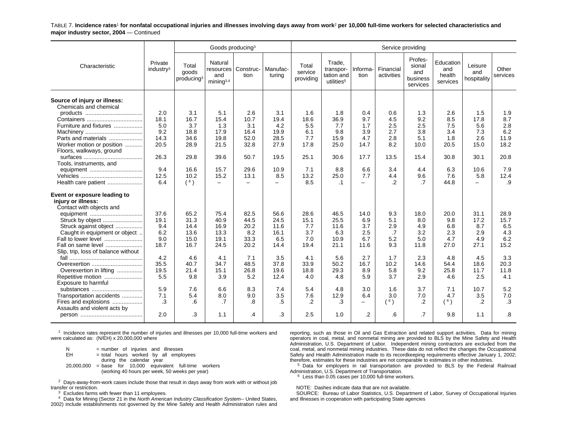TABLE 7. **Incidence rates**1 **for nonfatal occupational injuries and illnesses involving days away from work**2 **per 10,000 full-time workers for selected characteristics and major industry sector, 2004** — Continued

|                                                                                |                                  |                                          | Goods producing <sup>3</sup>                         |                          |                          |                               |                                                             |                   | Service providing       |                                                  |                                        |                               |                   |
|--------------------------------------------------------------------------------|----------------------------------|------------------------------------------|------------------------------------------------------|--------------------------|--------------------------|-------------------------------|-------------------------------------------------------------|-------------------|-------------------------|--------------------------------------------------|----------------------------------------|-------------------------------|-------------------|
| Characteristic                                                                 | Private<br>industry <sup>3</sup> | Total<br>goods<br>producing <sup>3</sup> | Natural<br>resources<br>and<br>mining <sup>3,4</sup> | Construc-<br>tion        | Manufac-<br>turina       | Total<br>service<br>providing | Trade,<br>transpor-<br>tation and<br>utilities <sup>5</sup> | Informa-<br>tion  | Financial<br>activities | Profes-<br>sional<br>and<br>business<br>services | Education<br>and<br>health<br>services | Leisure<br>and<br>hospitality | Other<br>services |
| Source of injury or illness:<br>Chemicals and chemical                         |                                  |                                          |                                                      |                          |                          |                               |                                                             |                   |                         |                                                  |                                        |                               |                   |
|                                                                                | 2.0                              | 3.1                                      | 5.1                                                  | 2.6                      | 3.1                      | 1.6                           | 1.8                                                         | 0.4               | 0.6                     | 1.3                                              | 2.6                                    | 1.5                           | 1.9               |
|                                                                                | 18.1                             | 16.7                                     | 15.4                                                 | 10.7                     | 19.4                     | 18.6                          | 36.9                                                        | 9.7               | 4.5                     | 9.2                                              | 8.5                                    | 17.8                          | 8.7               |
| Furniture and fixtures                                                         | 5.0                              | 3.7                                      | 1.3                                                  | 3.1                      | 4.2                      | 5.5                           | 7.7                                                         | 1.7               | 2.5                     | 2.5                                              | 7.5                                    | 5.6                           | 2.8               |
|                                                                                | 9.2                              | 18.8                                     | 17.9                                                 | 16.4                     | 19.9                     | 6.1                           | 9.8                                                         | 3.9               | 2.7                     | 3.8                                              | 3.4                                    | 7.3                           | 6.2               |
| Parts and materials                                                            | 14.3                             | 34.6                                     | 19.8                                                 | 52.0                     | 28.5                     | 7.7                           | 15.9                                                        | 4.7               | 2.8                     | 5.1                                              | 1.8                                    | 2.6                           | 11.9              |
| Worker motion or position                                                      | 20.5                             | 28.9                                     | 21.5                                                 | 32.8                     | 27.9                     | 17.8                          | 25.0                                                        | 14.7              | 8.2                     | 10.0                                             | 20.5                                   | 15.0                          | 18.2              |
| Floors, walkways, ground                                                       | 26.3                             | 29.8                                     | 39.6                                                 | 50.7                     | 19.5                     | 25.1                          | 30.6                                                        | 17.7              | 13.5                    | 15.4                                             | 30.8                                   | 30.1                          | 20.8              |
| Tools, instruments, and                                                        |                                  |                                          |                                                      |                          |                          |                               |                                                             |                   |                         |                                                  |                                        |                               |                   |
|                                                                                | 9.4                              | 16.6                                     | 15.7                                                 | 29.6                     | 10.9                     | 7.1                           | 8.8                                                         | 6.6               | 3.4                     | 4.4                                              | 6.3                                    | 10.6                          | 7.9               |
|                                                                                | 12.5                             | 10.2                                     | 15.2                                                 | 13.1                     | 8.5                      | 13.2                          | 25.0                                                        | 7.7               | 4.4                     | 9.6                                              | 7.6                                    | 5.8                           | 12.4              |
| Health care patient                                                            | 6.4                              | (6)                                      | $\overline{\phantom{0}}$                             | $\overline{\phantom{a}}$ | $\overline{\phantom{0}}$ | 8.5                           | $\cdot$ 1                                                   | $\qquad \qquad -$ | .2                      | .7                                               | 44.8                                   | $\overline{\phantom{0}}$      | .9                |
| Event or exposure leading to<br>injury or illness:<br>Contact with objects and |                                  |                                          |                                                      |                          |                          |                               |                                                             |                   |                         |                                                  |                                        |                               |                   |
| equipment                                                                      | 37.6                             | 65.2                                     | 75.4                                                 | 82.5                     | 56.6                     | 28.6                          | 46.5                                                        | 14.0              | 9.3                     | 18.0                                             | 20.0                                   | 31.1                          | 28.9              |
| Struck by object                                                               | 19.1                             | 31.3                                     | 40.9                                                 | 44.5                     | 24.5                     | 15.1                          | 25.5                                                        | 6.9               | 5.1                     | 8.0                                              | 9.8                                    | 17.2                          | 15.7              |
| Struck against object                                                          | 9.4                              | 14.4                                     | 16.9                                                 | 20.2                     | 11.6                     | 7.7                           | 11.6                                                        | 3.7               | 2.9                     | 4.9                                              | 6.8                                    | 8.7                           | 6.5               |
| Caught in equipment or object                                                  | 6.2                              | 13.6                                     | 13.3                                                 | 8.2                      | 16.1                     | 3.7                           | 6.3                                                         | 2.5               | .7                      | 3.2                                              | 2.3                                    | 2.9                           | 4.3               |
| Fall to lower level                                                            | 9.0                              | 15.0                                     | 19.1                                                 | 33.3                     | 6.5                      | 7.0                           | 10.9                                                        | 6.7               | 5.2                     | 5.0                                              | 4.7                                    | 4.9                           | 6.2               |
| Fall on same level<br>Slip, trip, loss of balance without                      | 18.7                             | 16.7                                     | 24.5                                                 | 20.2                     | 14.4                     | 19.4                          | 21.1                                                        | 11.6              | 9.3                     | 11.8                                             | 27.0                                   | 27.1                          | 15.2              |
|                                                                                | 4.2                              | 4.6                                      | 4.1                                                  | 7.1                      | 3.5                      | 4.1                           | 5.6                                                         | 2.7               | 1.7                     | 2.3                                              | 4.8                                    | 4.5                           | 3.3               |
| Overexertion                                                                   | 35.5                             | 40.7                                     | 34.7                                                 | 48.5                     | 37.8                     | 33.9                          | 50.2                                                        | 16.7              | 10.2                    | 14.6                                             | 54.4                                   | 18.6                          | 20.3              |
| Overexertion in lifting                                                        | 19.5                             | 21.4                                     | 15.1                                                 | 26.8                     | 19.6                     | 18.8                          | 29.3                                                        | 8.9               | 5.8                     | 9.2                                              | 25.8                                   | 11.7                          | 11.8              |
| Repetitive motion                                                              | 5.5                              | 9.8                                      | 3.9                                                  | 5.2                      | 12.4                     | 4.0                           | 4.8                                                         | 5.9               | 3.7                     | 2.9                                              | 4.6                                    | 2.5                           | 4.1               |
| Exposure to harmful                                                            |                                  |                                          |                                                      |                          |                          |                               |                                                             |                   |                         |                                                  |                                        |                               |                   |
| substances                                                                     | 5.9<br>7.1                       | 7.6<br>5.4                               | 6.6<br>8.0                                           | 8.3<br>9.0               | 7.4<br>3.5               | 5.4<br>7.6                    | 4.8<br>12.9                                                 | 3.0<br>6.4        | 1.6<br>3.0              | 3.7<br>7.0                                       | 7.1<br>4.7                             | 10.7<br>3.5                   | 5.2<br>7.0        |
| Transportation accidents<br>Fires and explosions                               | .3                               | .6                                       | .7                                                   | .8                       | .5                       | .2                            | .3                                                          | $\qquad \qquad -$ | $($ $^6)$               | $\cdot$ .2                                       | (6)                                    | $\cdot$                       | $\cdot$ 3         |
| Assaults and violent acts by                                                   |                                  |                                          |                                                      |                          |                          |                               |                                                             |                   |                         |                                                  |                                        |                               |                   |
|                                                                                | 2.0                              | .3                                       | 1.1                                                  | .4                       | .3                       | 2.5                           | 1.0                                                         | $\overline{2}$    | .6                      | .7                                               | 9.8                                    | 1.1                           | 8.                |

 $1$  Incidence rates represent the number of injuries and illnesses per 10,000 full-time workers and were calculated as: (N/EH) x 20,000,000 where

 $N = number of injuries and illnesses$ <br> $EH = total hours worked by all embeds$  $=$  total hours worked by all employees during the calendar year 20,000,000 <sup>=</sup> base for 10,000 equivalent full-time workers (working 40 hours per week, 50 weeks per year)

 $^2$  Days-away-from-work cases include those that result in days away from work with or without job transfer or restriction.

 $3$  Excludes farms with fewer than 11 employees.

<sup>4</sup> Data for Mining (Sector 21 in the North American Industry Classification System-- United States,

2002) include establishments not governed by the Mine Safety and Health Administration rules and

reporting, such as those in Oil and Gas Extraction and related support activities. Data for mining operators in coal, metal, and nonmetal mining are provided to BLS by the Mine Safety and Health Administration, U.S. Department of Labor. Independent mining contractors are excluded from the coal, metal, and nonmetal mining industries. These data do not reflect the changes the Occupational Safety and Health Administration made to its recordkeeping requirements effective January 1, 2002; therefore, estimates for these industries are not comparable to estimates in other industries.

<sup>5</sup> Data for employers in rail transportation are provided to BLS by the Federal Railroad Administration, U.S. Department of Transportation.

 $6$  Less than 0.05 cases per 10,000 full-time workers.

NOTE: Dashes indicate data that are not available.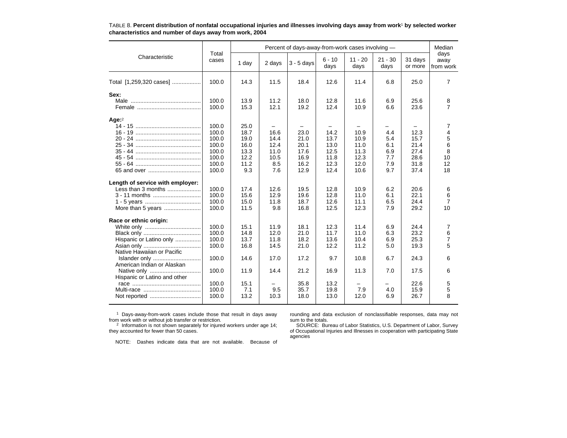|                                             |                |              |                          | Percent of days-away-from-work cases involving - |                  |                   |                   |                    | Median                    |
|---------------------------------------------|----------------|--------------|--------------------------|--------------------------------------------------|------------------|-------------------|-------------------|--------------------|---------------------------|
| Characteristic                              | Total<br>cases | 1 day        | 2 days                   | $3 - 5$ days                                     | $6 - 10$<br>days | $11 - 20$<br>days | $21 - 30$<br>days | 31 days<br>or more | days<br>away<br>from work |
| Total [1,259,320 cases]                     | 100.0          | 14.3         | 11.5                     | 18.4                                             | 12.6             | 11.4              | 6.8               | 25.0               | $\overline{7}$            |
| Sex:                                        |                |              |                          |                                                  |                  |                   |                   |                    |                           |
|                                             | 100.0<br>100.0 | 13.9<br>15.3 | 11.2<br>12.1             | 18.0<br>19.2                                     | 12.8<br>12.4     | 11.6<br>10.9      | 6.9<br>6.6        | 25.6<br>23.6       | 8<br>$\overline{7}$       |
| Age: $2$                                    |                |              |                          |                                                  |                  |                   |                   |                    |                           |
|                                             | 100.0          | 25.0         | $\overline{\phantom{0}}$ |                                                  |                  |                   |                   |                    | 7                         |
|                                             | 100.0          | 18.7         | 16.6                     | 23.0                                             | 14.2             | 10.9              | 4.4               | 12.3               | $\overline{4}$            |
|                                             | 100.0<br>100.0 | 19.0<br>16.0 | 14.4<br>12.4             | 21.0<br>20.1                                     | 13.7<br>13.0     | 10.9<br>11.0      | 5.4<br>6.1        | 15.7<br>21.4       | 5<br>6                    |
|                                             | 100.0          | 13.3         | 11.0                     | 17.6                                             | 12.5             | 11.3              | 6.9               | 27.4               | 8                         |
|                                             | 100.0          | 12.2         | 10.5                     | 16.9                                             | 11.8             | 12.3              | 7.7               | 28.6               | 10                        |
|                                             | 100.0          | 11.2         | 8.5                      | 16.2                                             | 12.3             | 12.0              | 7.9               | 31.8               | 12                        |
|                                             | 100.0          | 9.3          | 7.6                      | 12.9                                             | 12.4             | 10.6              | 9.7               | 37.4               | 18                        |
| Length of service with employer:            |                |              |                          |                                                  |                  |                   |                   |                    |                           |
| Less than 3 months                          | 100.0          | 17.4         | 12.6                     | 19.5                                             | 12.8             | 10.9              | 6.2               | 20.6               | 6                         |
| 3 - 11 months                               | 100.0          | 15.6         | 12.9                     | 19.6                                             | 12.8             | 11.0              | 6.1               | 22.1               | 6                         |
|                                             | 100.0          | 15.0         | 11.8                     | 18.7                                             | 12.6             | 11.1              | 6.5               | 24.4               | $\overline{7}$            |
| More than 5 years                           | 100.0          | 11.5         | 9.8                      | 16.8                                             | 12.5             | 12.3              | 7.9               | 29.2               | 10                        |
| Race or ethnic origin:                      |                |              |                          |                                                  |                  |                   |                   |                    |                           |
|                                             | 100.0          | 15.1         | 11.9                     | 18.1                                             | 12.3             | 11.4              | 6.9               | 24.4               | 7                         |
|                                             | 100.0          | 14.8         | 12.0                     | 21.0                                             | 11.7             | 11.0              | 6.3               | 23.2               | 6                         |
| Hispanic or Latino only                     | 100.0          | 13.7         | 11.8                     | 18.2                                             | 13.6             | 10.4              | 6.9               | 25.3               | $\overline{7}$            |
|                                             | 100.0          | 16.8         | 14.5                     | 21.0                                             | 12.2             | 11.2              | 5.0               | 19.3               | 5                         |
| Native Hawaiian or Pacific<br>Islander only | 100.0          | 14.6         | 17.0                     | 17.2                                             | 9.7              | 10.8              | 6.7               | 24.3               | 6                         |
| American Indian or Alaskan                  |                |              |                          |                                                  |                  |                   |                   |                    |                           |
| Hispanic or Latino and other                | 100.0          | 11.9         | 14.4                     | 21.2                                             | 16.9             | 11.3              | 7.0               | 17.5               | 6                         |
|                                             | 100.0          | 15.1         |                          | 35.8                                             | 13.2             |                   |                   | 22.6               | 5                         |
|                                             | 100.0          | 7.1          | 9.5                      | 35.7                                             | 19.8             | 7.9               | 4.0               | 15.9               | 5                         |
|                                             | 100.0          | 13.2         | 10.3                     | 18.0                                             | 13.0             | 12.0              | 6.9               | 26.7               | 8                         |
|                                             |                |              |                          |                                                  |                  |                   |                   |                    |                           |

TABLE 8. **Percent distribution of nonfatal occupational injuries and illnesses involving days away from work**1 **by selected worker characteristics and number of days away from work, 2004**

<sup>1</sup> Days-away-from-work cases include those that result in days away from work with or without job transfer or restriction.

rounding and data exclusion of nonclassifiable responses, data may not sum to the totals.

2 Information is not shown separately for injured workers under age 14; they accounted for fewer than 50 cases.

NOTE: Dashes indicate data that are not available. Because of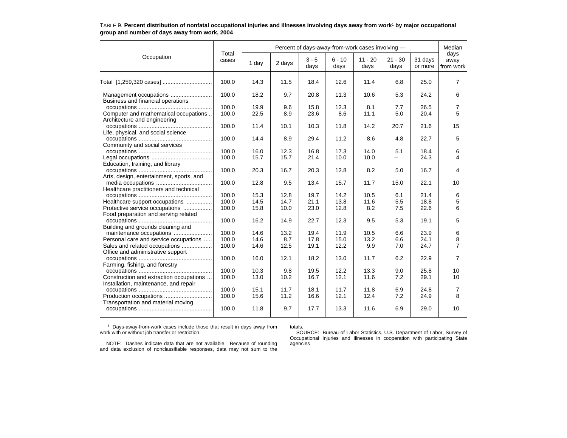|                                          |                | Percent of days-away-from-work cases involving - |        |                 |                  |                   |                   |                    |                           |  |
|------------------------------------------|----------------|--------------------------------------------------|--------|-----------------|------------------|-------------------|-------------------|--------------------|---------------------------|--|
| Occupation                               | Total<br>cases | 1 day                                            | 2 days | $3 - 5$<br>days | $6 - 10$<br>days | $11 - 20$<br>days | $21 - 30$<br>days | 31 days<br>or more | days<br>away<br>from work |  |
|                                          | 100.0          | 14.3                                             | 11.5   | 18.4            | 12.6             | 11.4              | 6.8               | 25.0               | 7                         |  |
| Business and financial operations        | 100.0          | 18.2                                             | 9.7    | 20.8            | 11.3             | 10.6              | 5.3               | 24.2               | 6                         |  |
|                                          | 100.0          | 19.9                                             | 9.6    | 15.8            | 12.3             | 8.1               | 7.7               | 26.5               | 7                         |  |
| Computer and mathematical occupations    | 100.0          | 22.5                                             | 8.9    | 23.6            | 8.6              | 11.1              | 5.0               | 20.4               | 5                         |  |
| Architecture and engineering             |                |                                                  |        |                 |                  |                   |                   |                    |                           |  |
|                                          | 100.0          | 11.4                                             | 10.1   | 10.3            | 11.8             | 14.2              | 20.7              | 21.6               | 15                        |  |
| Life, physical, and social science       |                |                                                  |        |                 |                  |                   |                   |                    |                           |  |
|                                          | 100.0          | 14.4                                             | 8.9    | 29.4            | 11.2             | 8.6               | 4.8               | 22.7               | 5                         |  |
| Community and social services            |                |                                                  |        |                 |                  |                   |                   |                    |                           |  |
|                                          | 100.0          | 16.0                                             | 12.3   | 16.8            | 17.3             | 14.0              | 5.1               | 18.4               | 6                         |  |
|                                          | 100.0          | 15.7                                             | 15.7   | 21.4            | 10.0             | 10.0              |                   | 24.3               | 4                         |  |
| Education, training, and library         |                |                                                  |        |                 |                  |                   |                   |                    |                           |  |
|                                          | 100.0          | 20.3                                             | 16.7   | 20.3            | 12.8             | 8.2               | 5.0               | 16.7               | 4                         |  |
| Arts, design, entertainment, sports, and |                |                                                  |        |                 |                  |                   |                   |                    |                           |  |
|                                          | 100.0          | 12.8                                             | 9.5    | 13.4            | 15.7             | 11.7              | 15.0              | 22.1               | 10                        |  |
| Healthcare practitioners and technical   |                |                                                  |        |                 |                  |                   |                   |                    |                           |  |
|                                          | 100.0          | 15.3                                             | 12.8   | 19.7            | 14.2             | 10.5              | 6.1               | 21.4               | 6                         |  |
| Healthcare support occupations           | 100.0          | 14.5                                             | 14.7   | 21.1            | 13.8             | 11.6              | 5.5               | 18.8               | 5                         |  |
| Protective service occupations           | 100.0          | 15.8                                             | 10.0   | 23.0            | 12.8             | 8.2               | 7.5               | 22.6               | 6                         |  |
| Food preparation and serving related     |                |                                                  |        |                 |                  |                   |                   |                    |                           |  |
|                                          | 100.0          | 16.2                                             | 14.9   | 22.7            | 12.3             | 9.5               | 5.3               | 19.1               | 5                         |  |
| Building and grounds cleaning and        |                |                                                  |        |                 |                  |                   |                   |                    |                           |  |
| maintenance occupations                  | 100.0          | 14.6                                             | 13.2   | 19.4            | 11.9             | 10.5              | 6.6               | 23.9               | 6                         |  |
| Personal care and service occupations    | 100.0          | 14.6                                             | 8.7    | 17.8            | 15.0             | 13.2              | 6.6               | 24.1               | 8                         |  |
| Sales and related occupations            | 100.0          | 14.6                                             | 12.5   | 19.1            | 12.2             | 9.9               | 7.0               | 24.7               | 7                         |  |
| Office and administrative support        |                |                                                  |        |                 |                  |                   |                   |                    |                           |  |
|                                          | 100.0          | 16.0                                             | 12.1   | 18.2            | 13.0             | 11.7              | 6.2               | 22.9               | 7                         |  |
| Farming, fishing, and forestry           |                |                                                  |        |                 |                  |                   |                   |                    |                           |  |
|                                          | 100.0          | 10.3                                             | 9.8    | 19.5            | 12.2             | 13.3              | 9.0               | 25.8               | 10                        |  |
| Construction and extraction occupations  | 100.0          | 13.0                                             | 10.2   | 16.7            | 12.1             | 11.6              | 7.2               | 29.1               | 10                        |  |
| Installation, maintenance, and repair    |                |                                                  |        |                 |                  |                   |                   |                    |                           |  |
|                                          | 100.0          | 15.1                                             | 11.7   | 18.1            | 11.7             | 11.8              | 6.9               | 24.8               | 7                         |  |
|                                          | 100.0          | 15.6                                             | 11.2   | 16.6            | 12.1             | 12.4              | 7.2               | 24.9               | 8                         |  |
| Transportation and material moving       |                |                                                  |        |                 |                  |                   |                   |                    |                           |  |
|                                          | 100.0          | 11.8                                             | 9.7    | 17.7            | 13.3             | 11.6              | 6.9               | 29.0               | 10                        |  |
|                                          |                |                                                  |        |                 |                  |                   |                   |                    |                           |  |

#### TABLE 9. **Percent distribution of nonfatal occupational injuries and illnesses involving days away from work**1 **by major occupational group and number of days away from work, 2004**

1 Days-away-from-work cases include those that result in days away from work with or without job transfer or restriction.

totals. SOURCE: Bureau of Labor Statistics, U.S. Department of Labor, Survey of Occupational Injuries and Illnesses in cooperation with participating State agencies

NOTE: Dashes indicate data that are not available. Because of rounding and data exclusion of nonclassifiable responses, data may not sum to the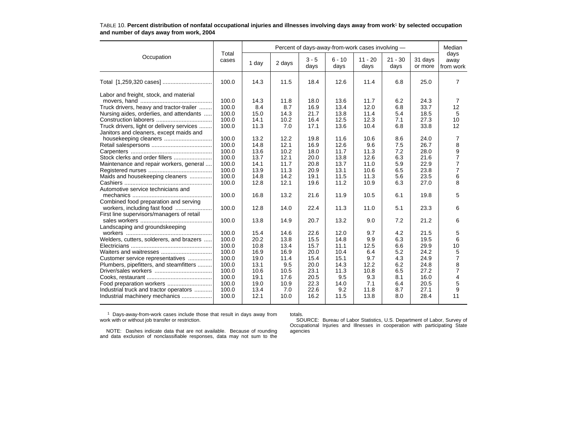|                                                                                                                                                                                                                                                                                                                                                                                                              |                                                                                                                            | Percent of days-away-from-work cases involving -                                                            |                                                                                                            |                                                                                                              |                                                                                                              |                                                                                                             |                                                                                                |                                                                                                              | Median                                                                                                       |  |
|--------------------------------------------------------------------------------------------------------------------------------------------------------------------------------------------------------------------------------------------------------------------------------------------------------------------------------------------------------------------------------------------------------------|----------------------------------------------------------------------------------------------------------------------------|-------------------------------------------------------------------------------------------------------------|------------------------------------------------------------------------------------------------------------|--------------------------------------------------------------------------------------------------------------|--------------------------------------------------------------------------------------------------------------|-------------------------------------------------------------------------------------------------------------|------------------------------------------------------------------------------------------------|--------------------------------------------------------------------------------------------------------------|--------------------------------------------------------------------------------------------------------------|--|
| Occupation                                                                                                                                                                                                                                                                                                                                                                                                   | Total<br>cases                                                                                                             | 1 day                                                                                                       | 2 days                                                                                                     | $3 - 5$<br>days                                                                                              | $6 - 10$<br>days                                                                                             | $11 - 20$<br>days                                                                                           | $21 - 30$<br>days                                                                              | 31 days<br>or more                                                                                           | days<br>away<br>from work                                                                                    |  |
|                                                                                                                                                                                                                                                                                                                                                                                                              | 100.0                                                                                                                      | 14.3                                                                                                        | 11.5                                                                                                       | 18.4                                                                                                         | 12.6                                                                                                         | 11.4                                                                                                        | 6.8                                                                                            | 25.0                                                                                                         | $\overline{7}$                                                                                               |  |
| Labor and freight, stock, and material<br>Truck drivers, heavy and tractor-trailer<br>Nursing aides, orderlies, and attendants<br>Truck drivers, light or delivery services<br>Janitors and cleaners, except maids and<br>housekeeping cleaners<br>Maintenance and repair workers, general<br>Maids and housekeeping cleaners<br>Automotive service technicians and<br>Combined food preparation and serving | 100.0<br>100.0<br>100.0<br>100.0<br>100.0<br>100.0<br>100.0<br>100.0<br>100.0<br>100.0<br>100.0<br>100.0<br>100.0<br>100.0 | 14.3<br>8.4<br>15.0<br>14.1<br>11.3<br>13.2<br>14.8<br>13.6<br>13.7<br>14.1<br>13.9<br>14.8<br>12.8<br>16.8 | 11.8<br>8.7<br>14.3<br>10.2<br>7.0<br>12.2<br>12.1<br>10.2<br>12.1<br>11.7<br>11.3<br>14.2<br>12.1<br>13.2 | 18.0<br>16.9<br>21.7<br>16.4<br>17.1<br>19.8<br>16.9<br>18.0<br>20.0<br>20.8<br>20.9<br>19.1<br>19.6<br>21.6 | 13.6<br>13.4<br>13.8<br>12.5<br>13.6<br>11.6<br>12.6<br>11.7<br>13.8<br>13.7<br>13.1<br>11.5<br>11.2<br>11.9 | 11.7<br>12.0<br>11.4<br>12.3<br>10.4<br>10.6<br>9.6<br>11.3<br>12.6<br>11.0<br>10.6<br>11.3<br>10.9<br>10.5 | 6.2<br>6.8<br>5.4<br>7.1<br>6.8<br>8.6<br>7.5<br>7.2<br>6.3<br>5.9<br>6.5<br>5.6<br>6.3<br>6.1 | 24.3<br>33.7<br>18.5<br>27.3<br>33.8<br>24.0<br>26.7<br>28.0<br>21.6<br>22.9<br>23.8<br>23.5<br>27.0<br>19.8 | 7<br>12<br>5<br>10<br>12<br>7<br>8<br>9<br>$\overline{7}$<br>$\overline{7}$<br>$\overline{7}$<br>6<br>8<br>5 |  |
| First line supervisors/managers of retail                                                                                                                                                                                                                                                                                                                                                                    | 100.0                                                                                                                      | 12.8                                                                                                        | 14.0                                                                                                       | 22.4                                                                                                         | 11.3                                                                                                         | 11.0                                                                                                        | 5.1                                                                                            | 23.3                                                                                                         | 6                                                                                                            |  |
| Landscaping and groundskeeping                                                                                                                                                                                                                                                                                                                                                                               | 100.0                                                                                                                      | 13.8                                                                                                        | 14.9                                                                                                       | 20.7                                                                                                         | 13.2                                                                                                         | 9.0                                                                                                         | 7.2                                                                                            | 21.2                                                                                                         | 6                                                                                                            |  |
| Welders, cutters, solderers, and brazers<br>Customer service representatives<br>Plumbers, pipefitters, and steamfitters<br>Industrial truck and tractor operators<br>Industrial machinery mechanics                                                                                                                                                                                                          | 100.0<br>100.0<br>100.0<br>100.0<br>100.0<br>100.0<br>100.0<br>100.0<br>100.0<br>100.0<br>100.0                            | 15.4<br>20.2<br>10.8<br>16.9<br>19.0<br>13.1<br>10.6<br>19.1<br>19.0<br>13.4<br>12.1                        | 14.6<br>13.8<br>13.4<br>16.9<br>11.4<br>9.5<br>10.5<br>17.6<br>10.9<br>7.0<br>10.0                         | 22.6<br>15.5<br>15.7<br>20.0<br>15.4<br>20.0<br>23.1<br>20.5<br>22.3<br>22.6<br>16.2                         | 12.0<br>14.8<br>11.1<br>10.4<br>15.1<br>14.3<br>11.3<br>9.5<br>14.0<br>9.2<br>11.5                           | 9.7<br>9.9<br>12.5<br>6.4<br>9.7<br>12.2<br>10.8<br>9.3<br>7.1<br>11.8<br>13.8                              | 4.2<br>6.3<br>6.6<br>5.2<br>4.3<br>6.2<br>6.5<br>8.1<br>6.4<br>8.7<br>8.0                      | 21.5<br>19.5<br>29.9<br>24.2<br>24.9<br>24.8<br>27.2<br>16.0<br>20.5<br>27.1<br>28.4                         | 5<br>6<br>10<br>5<br>7<br>8<br>$\overline{7}$<br>$\overline{4}$<br>5<br>9<br>11                              |  |

#### TABLE 10. **Percent distribution of nonfatal occupational injuries and illnesses involving days away from work**1 **by selected occupation and number of days away from work, 2004**

<sup>1</sup> Days-away-from-work cases include those that result in days away from work with or without job transfer or restriction.

totals.

 SOURCE: Bureau of Labor Statistics, U.S. Department of Labor, Survey of Occupational Injuries and Illnesses in cooperation with participating State agencies

NOTE: Dashes indicate data that are not available. Because of rounding and data exclusion of nonclassifiable responses, data may not sum to the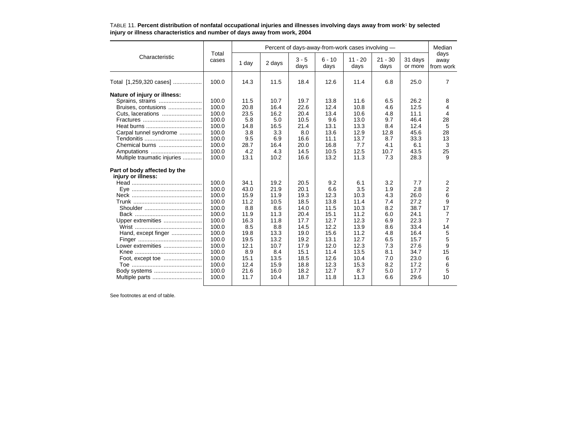|                              | Total |       |        |                 | Percent of days-away-from-work cases involving - |                   |                   |                    | Median                    |
|------------------------------|-------|-------|--------|-----------------|--------------------------------------------------|-------------------|-------------------|--------------------|---------------------------|
| Characteristic               | cases | 1 day | 2 days | $3 - 5$<br>days | $6 - 10$<br>days                                 | $11 - 20$<br>days | $21 - 30$<br>days | 31 days<br>or more | days<br>away<br>from work |
| Total [1,259,320 cases]      | 100.0 | 14.3  | 11.5   | 18.4            | 12.6                                             | 11.4              | 6.8               | 25.0               | 7                         |
| Nature of injury or illness: |       |       |        |                 |                                                  |                   |                   |                    |                           |
|                              | 100.0 | 11.5  | 10.7   | 19.7            | 13.8                                             | 11.6              | 6.5               | 26.2               | 8                         |
| Bruises, contusions          | 100.0 | 20.8  | 16.4   | 22.6            | 12.4                                             | 10.8              | 4.6               | 12.5               | 4                         |
|                              | 100.0 | 23.5  | 16.2   | 20.4            | 13.4                                             | 10.6              | 4.8               | 11.1               | 4                         |
|                              | 100.0 | 5.8   | 5.0    | 10.5            | 9.6                                              | 13.0              | 9.7               | 46.4               | 28                        |
|                              | 100.0 | 14.8  | 16.5   | 21.4            | 13.1                                             | 13.3              | 8.4               | 12.4               | 5                         |
| Carpal tunnel syndrome       | 100.0 | 3.8   | 3.3    | 8.0             | 13.6                                             | 12.9              | 12.8              | 45.6               | 28                        |
|                              | 100.0 | 9.5   | 6.9    | 16.6            | 11.1                                             | 13.7              | 8.7               | 33.3               | 13                        |
| Chemical burns               | 100.0 | 28.7  | 16.4   | 20.0            | 16.8                                             | 7.7               | 4.1               | 6.1                | 3                         |
| Amputations                  | 100.0 | 4.2   | 4.3    | 14.5            | 10.5                                             | 12.5              | 10.7              | 43.5               | 25                        |
| Multiple traumatic injuries  | 100.0 | 13.1  | 10.2   | 16.6            | 13.2                                             | 11.3              | 7.3               | 28.3               | 9                         |
| Part of body affected by the |       |       |        |                 |                                                  |                   |                   |                    |                           |
| injury or illness:           |       |       |        |                 |                                                  |                   |                   |                    |                           |
|                              | 100.0 | 34.1  | 19.2   | 20.5            | 9.2                                              | 6.1               | 3.2               | 7.7                | 2                         |
|                              | 100.0 | 43.0  | 21.9   | 20.1            | 6.6                                              | 3.5               | 1.9               | 2.8                | $\overline{2}$            |
|                              | 100.0 | 15.9  | 11.9   | 19.3            | 12.3                                             | 10.3              | 4.3               | 26.0               | 6                         |
|                              | 100.0 | 11.2  | 10.5   | 18.5            | 13.8                                             | 11.4              | 7.4               | 27.2               | 9                         |
|                              | 100.0 | 8.8   | 8.6    | 14.0            | 11.5                                             | 10.3              | 8.2               | 38.7               | 17                        |
|                              | 100.0 | 11.9  | 11.3   | 20.4            | 15.1                                             | 11.2              | 6.0               | 24.1               | 7                         |
| Upper extremities            | 100.0 | 16.3  | 11.8   | 17.7            | 12.7                                             | 12.3              | 6.9               | 22.3               | $\overline{7}$            |
|                              | 100.0 | 8.5   | 8.8    | 14.5            | 12.2                                             | 13.9              | 8.6               | 33.4               | 14                        |
| Hand, except finger          | 100.0 | 19.8  | 13.3   | 19.0            | 15.6                                             | 11.2              | 4.8               | 16.4               | 5                         |
|                              | 100.0 | 19.5  | 13.2   | 19.2            | 13.1                                             | 12.7              | 6.5               | 15.7               | 5                         |
| Lower extremities            | 100.0 | 12.1  | 10.7   | 17.9            | 12.0                                             | 12.3              | 7.3               | 27.6               | 9                         |
|                              | 100.0 | 8.9   | 8.4    | 15.1            | 11.4                                             | 13.5              | 8.1               | 34.7               | 15                        |
|                              | 100.0 | 15.1  | 13.5   | 18.5            | 12.6                                             | 10.4              | 7.0               | 23.0               | 6                         |
|                              | 100.0 | 12.4  | 15.9   | 18.8            | 12.3                                             | 15.3              | 8.2               | 17.2               | 6                         |
|                              | 100.0 | 21.6  | 16.0   | 18.2            | 12.7                                             | 8.7               | 5.0               | 17.7               | 5                         |
| Multiple parts               | 100.0 | 11.7  | 10.4   | 18.7            | 11.8                                             | 11.3              | 6.6               | 29.6               | 10                        |
|                              |       |       |        |                 |                                                  |                   |                   |                    |                           |

#### TABLE 11. **Percent distribution of nonfatal occupational injuries and illnesses involving days away from work**1 **by selected injury or illness characteristics and number of days away from work, 2004**

See footnotes at end of table.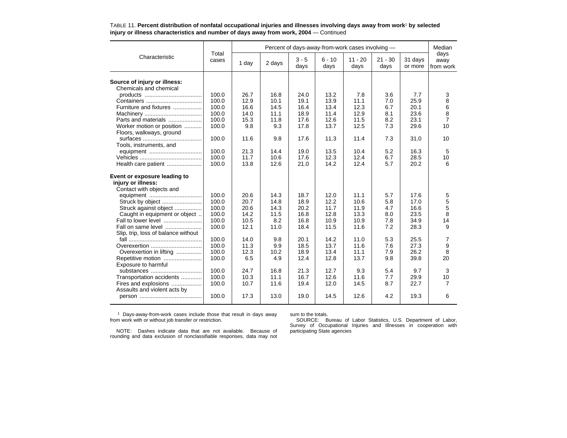|                                     |                |       |        |                 |                  | Percent of days-away-from-work cases involving - |                   |                    | Median                    |
|-------------------------------------|----------------|-------|--------|-----------------|------------------|--------------------------------------------------|-------------------|--------------------|---------------------------|
| Characteristic                      | Total<br>cases | 1 day | 2 days | $3 - 5$<br>days | $6 - 10$<br>days | $11 - 20$<br>days                                | $21 - 30$<br>days | 31 days<br>or more | days<br>away<br>from work |
|                                     |                |       |        |                 |                  |                                                  |                   |                    |                           |
| Source of injury or illness:        |                |       |        |                 |                  |                                                  |                   |                    |                           |
| Chemicals and chemical              |                |       |        |                 |                  |                                                  |                   |                    |                           |
|                                     | 100.0          | 26.7  | 16.8   | 24.0            | 13.2             | 7.8                                              | 3.6               | 7.7                | 3                         |
|                                     | 100.0          | 12.9  | 10.1   | 19.1            | 13.9             | 11.1                                             | 7.0               | 25.9               | 8                         |
| Furniture and fixtures              | 100.0          | 16.6  | 14.5   | 16.4            | 13.4             | 12.3                                             | 6.7               | 20.1               | 6                         |
|                                     | 100.0          | 14.0  | 11.1   | 18.9            | 11.4             | 12.9                                             | 8.1               | 23.6               | 8                         |
| Parts and materials                 | 100.0          | 15.3  | 11.8   | 17.6            | 12.6             | 11.5                                             | 8.2               | 23.1               | 7                         |
| Worker motion or position           | 100.0          | 9.8   | 9.3    | 17.8            | 13.7             | 12.5                                             | 7.3               | 29.6               | 10                        |
| Floors, walkways, ground            |                |       |        |                 |                  |                                                  |                   |                    |                           |
|                                     | 100.0          | 11.6  | 9.8    | 17.6            | 11.3             | 11.4                                             | 7.3               | 31.0               | 10                        |
| Tools, instruments, and             |                |       |        |                 |                  |                                                  |                   |                    |                           |
|                                     | 100.0          | 21.3  | 14.4   | 19.0            | 13.5             | 10.4                                             | 5.2               | 16.3               | 5                         |
|                                     | 100.0          | 11.7  | 10.6   | 17.6            | 12.3             | 12.4                                             | 6.7               | 28.5               | 10                        |
| Health care patient                 | 100.0          | 13.8  | 12.6   | 21.0            | 14.2             | 12.4                                             | 5.7               | 20.2               | 6                         |
| Event or exposure leading to        |                |       |        |                 |                  |                                                  |                   |                    |                           |
| injury or illness:                  |                |       |        |                 |                  |                                                  |                   |                    |                           |
| Contact with objects and            |                |       |        |                 |                  |                                                  |                   |                    |                           |
| equipment                           | 100.0          | 20.6  | 14.3   | 18.7            | 12.0             | 11.1                                             | 5.7               | 17.6               | 5                         |
| Struck by object                    | 100.0          | 20.7  | 14.8   | 18.9            | 12.2             | 10.6                                             | 5.8               | 17.0               | 5                         |
| Struck against object               | 100.0          | 20.6  | 14.3   | 20.2            | 11.7             | 11.9                                             | 4.7               | 16.6               | 5                         |
| Caught in equipment or object       | 100.0          | 14.2  | 11.5   | 16.8            | 12.8             | 13.3                                             | 8.0               | 23.5               | 8                         |
| Fall to lower level                 | 100.0          | 10.5  | 8.2    | 16.8            | 10.9             | 10.9                                             | 7.8               | 34.9               | 14                        |
| Fall on same level                  | 100.0          | 12.1  | 11.0   | 18.4            | 11.5             | 11.6                                             | 7.2               | 28.3               | 9                         |
| Slip, trip, loss of balance without |                |       |        |                 |                  |                                                  |                   |                    |                           |
|                                     | 100.0          | 14.0  | 9.8    | 20.1            | 14.2             | 11.0                                             | 5.3               | 25.5               | 7                         |
| Overexertion                        | 100.0          | 11.3  | 9.9    | 18.5            | 13.7             | 11.6                                             | 7.6               | 27.3               | 9                         |
| Overexertion in lifting             | 100.0          | 12.3  | 10.2   | 18.9            | 13.4             | 11.1                                             | 7.9               | 26.2               | 8                         |
| Repetitive motion                   | 100.0          | 6.5   | 4.9    | 12.4            | 12.8             | 13.7                                             | 9.8               | 39.8               | 20                        |
| Exposure to harmful                 |                |       |        |                 |                  |                                                  |                   |                    |                           |
| substances                          | 100.0          | 24.7  | 16.8   | 21.3            | 12.7             | 9.3                                              | 5.4               | 9.7                | 3                         |
| Transportation accidents            | 100.0          | 10.3  | 11.1   | 16.7            | 12.6             | 11.6                                             | 7.7               | 29.9               | 10                        |
| Fires and explosions                | 100.0          | 10.7  | 11.6   | 19.4            | 12.0             | 14.5                                             | 8.7               | 22.7               | 7                         |
| Assaults and violent acts by        |                |       |        |                 |                  |                                                  |                   |                    |                           |
|                                     | 100.0          | 17.3  | 13.0   | 19.0            | 14.5             | 12.6                                             | 4.2               | 19.3               | 6                         |
|                                     |                |       |        |                 |                  |                                                  |                   |                    |                           |

TABLE 11. **Percent distribution of nonfatal occupational injuries and illnesses involving days away from work**1 **by selected injury or illness characteristics and number of days away from work, 2004** — Continued

1 Days-away-from-work cases include those that result in days away from work with or without job transfer or restriction.

sum to the totals.

NOTE: Dashes indicate data that are not available. Because ofrounding and data exclusion of nonclassifiable responses, data may not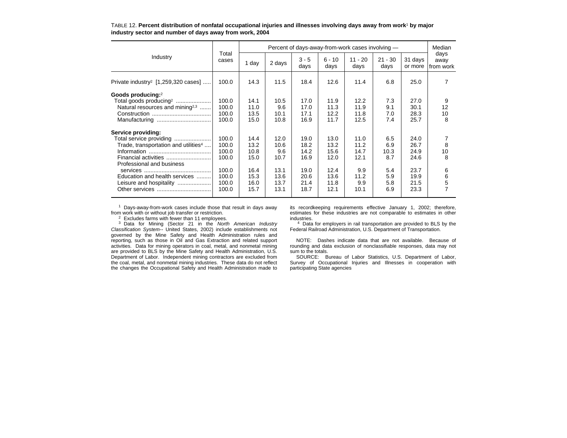|                                                  |                |       |        |                 |                  | Percent of days-away-from-work cases involving - |                   |                    | Median                    |
|--------------------------------------------------|----------------|-------|--------|-----------------|------------------|--------------------------------------------------|-------------------|--------------------|---------------------------|
| Industry                                         | Total<br>cases | 1 day | 2 days | $3 - 5$<br>days | $6 - 10$<br>days | $11 - 20$<br>days                                | $21 - 30$<br>days | 31 days<br>or more | days<br>away<br>from work |
| Private industry <sup>2</sup> [1,259,320 cases]  | 100.0          | 14.3  | 11.5   | 18.4            | 12.6             | 11.4                                             | 6.8               | 25.0               | 7                         |
| Goods producing:2                                |                |       |        |                 |                  |                                                  |                   |                    |                           |
| Total goods producing <sup>2</sup>               | 100.0          | 14.1  | 10.5   | 17.0            | 11.9             | 12.2                                             | 7.3               | 27.0               | 9                         |
| Natural resources and mining <sup>2,3</sup>      | 100.0          | 11.0  | 9.6    | 17.0            | 11.3             | 11.9                                             | 9.1               | 30.1               | 12                        |
|                                                  | 100.0          | 13.5  | 10.1   | 17.1            | 12.2             | 11.8                                             | 7.0               | 28.3               | 10                        |
|                                                  | 100.0          | 15.0  | 10.8   | 16.9            | 11.7             | 12.5                                             | 7.4               | 25.7               | 8                         |
| Service providing:                               |                |       |        |                 |                  |                                                  |                   |                    |                           |
| Total service providing                          | 100.0          | 14.4  | 12.0   | 19.0            | 13.0             | 11.0                                             | 6.5               | 24.0               |                           |
| Trade, transportation and utilities <sup>4</sup> | 100.0          | 13.2  | 10.6   | 18.2            | 13.2             | 11.2                                             | 6.9               | 26.7               | 8                         |
|                                                  | 100.0          | 10.8  | 9.6    | 14.2            | 15.6             | 14.7                                             | 10.3              | 24.9               | 10                        |
|                                                  | 100.0          | 15.0  | 10.7   | 16.9            | 12.0             | 12.1                                             | 8.7               | 24.6               | 8                         |
| Professional and business                        |                |       |        |                 |                  |                                                  |                   |                    |                           |
|                                                  | 100.0          | 16.4  | 13.1   | 19.0            | 12.4             | 9.9                                              | 5.4               | 23.7               | 6                         |
| Education and health services                    | 100.0          | 15.3  | 13.6   | 20.6            | 13.6             | 11.2                                             | 5.9               | 19.9               | 6                         |
| Leisure and hospitality                          | 100.0          | 16.0  | 13.7   | 21.4            | 11.8             | 9.9                                              | 5.8               | 21.5               | 5                         |
|                                                  | 100.0          | 15.7  | 13.1   | 18.7            | 12.1             | 10.1                                             | 6.9               | 23.3               | $\overline{7}$            |

TABLE 12. **Percent distribution of nonfatal occupational injuries and illnesses involving days away from work**1 **by major industry sector and number of days away from work, 2004**

1 Days-away-from-work cases include those that result in days away from work with or without job transfer or restriction.

 $2$  Excludes farms with fewer than 11 employees.

<sup>3</sup> Data for Mining (Sector 21 in the North American Industry Classification System-- United States, 2002) include establishments not governed by the Mine Safety and Health Administration rules and reporting, such as those in Oil and Gas Extraction and related support activities. Data for mining operators in coal, metal, and nonmetal mining are provided to BLS by the Mine Safety and Health Administration, U.S. Department of Labor. Independent mining contractors are excluded from the coal, metal, and nonmetal mining industries. These data do not reflect the changes the Occupational Safety and Health Administration made to its recordkeeping requirements effective January 1, 2002; therefore, estimates for these industries are not comparable to estimates in other industries.

<sup>4</sup> Data for employers in rail transportation are provided to BLS by the Federal Railroad Administration, U.S. Department of Transportation.

NOTE: Dashes indicate data that are not available. Because of rounding and data exclusion of nonclassifiable responses, data may not sum to the totals.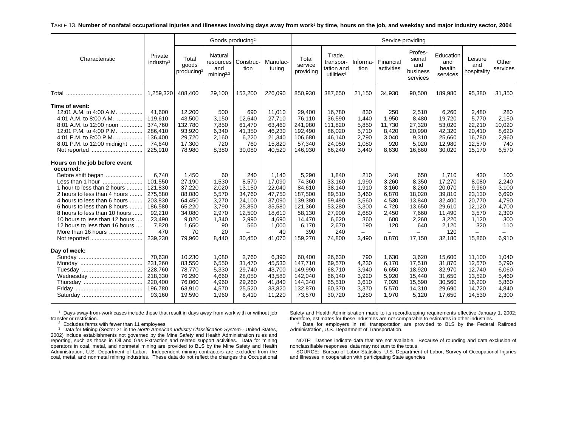#### TABLE 13. **Number of nonfatal occupational injuries and illnesses involving days away from work**1 **by time, hours on the job, and weekday and major industry sector, 2004**

|                                                                                                                                                                                                                                                                                                                                                |                                                                                                             |                                                                                                     | Goods producing <sup>2</sup>                                                           |                                                                                                                      |                                                                                                     |                                                                                                           |                                                                                                      |                                                                                  |                                                                                       |                                                                                                                    |                                                                                                      |                                                                                                                    |                                                                                  |
|------------------------------------------------------------------------------------------------------------------------------------------------------------------------------------------------------------------------------------------------------------------------------------------------------------------------------------------------|-------------------------------------------------------------------------------------------------------------|-----------------------------------------------------------------------------------------------------|----------------------------------------------------------------------------------------|----------------------------------------------------------------------------------------------------------------------|-----------------------------------------------------------------------------------------------------|-----------------------------------------------------------------------------------------------------------|------------------------------------------------------------------------------------------------------|----------------------------------------------------------------------------------|---------------------------------------------------------------------------------------|--------------------------------------------------------------------------------------------------------------------|------------------------------------------------------------------------------------------------------|--------------------------------------------------------------------------------------------------------------------|----------------------------------------------------------------------------------|
| Characteristic                                                                                                                                                                                                                                                                                                                                 | Private<br>industry <sup>2</sup>                                                                            | Total<br>goods<br>producing <sup>2</sup>                                                            | Natural<br>and<br>mining <sup>2,3</sup>                                                | resources   Construc-<br>tion                                                                                        | Manufac-<br>turing                                                                                  | Total<br>service<br>providing                                                                             | Trade,<br>transpor-<br>tation and<br>utilities <sup>4</sup>                                          | Informa-<br>tion                                                                 | Financial<br>activities                                                               | Profes-<br>sional<br>and<br>business<br>services                                                                   | Education<br>and<br>health<br>services                                                               | Leisure<br>and<br>hospitality                                                                                      | Other<br>services                                                                |
|                                                                                                                                                                                                                                                                                                                                                | 1,259,320                                                                                                   | 408,400                                                                                             | 29,100                                                                                 | 153,200                                                                                                              | 226,090                                                                                             | 850,930                                                                                                   | 387,650                                                                                              | 21,150                                                                           | 34,930                                                                                | 90,500                                                                                                             | 189,980                                                                                              | 95,380                                                                                                             | 31,350                                                                           |
| Time of event:<br>12:01 A.M. to 4:00 A.M.<br>4:01 A.M. to 8:00 A.M.<br>8:01 A.M. to 12:00 noon<br>12:01 P.M. to 4:00 P.M.<br>4:01 P.M. to 8:00 P.M.<br>.<br>8:01 P.M. to 12:00 midnight<br>Not reported                                                                                                                                        | 41.600<br>119.610<br>374,760<br>286,410<br>136,400<br>74,640<br>225,910                                     | 12,200<br>43,500<br>132,780<br>93,920<br>29,720<br>17,300<br>78,980                                 | 500<br>3,150<br>7,850<br>6,340<br>2,160<br>720<br>8,380                                | 690<br>12.640<br>61,470<br>41,350<br>6,220<br>760<br>30,080                                                          | 11,010<br>27,710<br>63,460<br>46,230<br>21,340<br>15,820<br>40,520                                  | 29,400<br>76,110<br>241,980<br>192,490<br>106,680<br>57,340<br>146,930                                    | 16,780<br>36,590<br>111,820<br>86,020<br>46,140<br>24,050<br>66,240                                  | 830<br>1,440<br>5,850<br>5,710<br>2,790<br>1,080<br>3,440                        | 250<br>1,950<br>11,730<br>8,420<br>3,040<br>920<br>8,630                              | 2,510<br>8,480<br>27,320<br>20,990<br>9,310<br>5,020<br>16,860                                                     | 6,260<br>19,720<br>53,020<br>42,320<br>25,660<br>12,980<br>30,020                                    | 2,480<br>5,770<br>22,210<br>20,410<br>16.780<br>12,570<br>15,170                                                   | 280<br>2,150<br>10,020<br>8,620<br>2,960<br>740<br>6,570                         |
| Hours on the job before event<br>occurred:<br>Before shift began<br>Less than 1 hour<br>1 hour to less than 2 hours<br>2 hours to less than 4 hours<br>4 hours to less than 6 hours<br>6 hours to less than 8 hours<br>8 hours to less than 10 hours<br>10 hours to less than 12 hours<br>12 hours to less than 16 hours<br>More than 16 hours | 6.740<br>101,550<br>121,830<br>275,580<br>203,830<br>186,580<br>92,210<br>23,490<br>7,820<br>470<br>239,230 | 1,450<br>27,190<br>37,220<br>88,080<br>64,450<br>65,220<br>34,080<br>9,020<br>1,650<br>70<br>79,960 | 60<br>1,530<br>2,020<br>5,570<br>3,270<br>3,790<br>2,970<br>1,340<br>90<br>20<br>8,440 | 240<br>8,570<br>13,150<br>34,760<br>24,100<br>25,850<br>12.500<br>2,990<br>560<br>$\overline{\phantom{0}}$<br>30,450 | 1,140<br>17,090<br>22,040<br>47,750<br>37,090<br>35,580<br>18,610<br>4,690<br>1,000<br>40<br>41,070 | 5,290<br>74,360<br>84,610<br>187,500<br>139,380<br>121,360<br>58,130<br>14,470<br>6,170<br>390<br>159,270 | 1,840<br>33,160<br>38,140<br>89,510<br>59,490<br>53,280<br>27,900<br>6,620<br>2,670<br>240<br>74,800 | 210<br>1,990<br>1,910<br>3,460<br>3,560<br>3,300<br>2,680<br>360<br>190<br>3,490 | 340<br>3,260<br>3,160<br>6,870<br>4,530<br>4,720<br>2,450<br>600<br>120<br>-<br>8,870 | 650<br>8,350<br>8,260<br>18,020<br>13,840<br>13,650<br>7,660<br>2,260<br>640<br>$\overline{\phantom{0}}$<br>17,150 | 1,710<br>17,270<br>20,070<br>39,810<br>32,400<br>29,610<br>11,490<br>3,220<br>2,120<br>120<br>32,180 | 430<br>8.080<br>9,960<br>23,130<br>20,770<br>12,120<br>3,570<br>1,120<br>320<br>$\overline{\phantom{0}}$<br>15,860 | 100<br>2,240<br>3,100<br>6,690<br>4,790<br>4,700<br>2,390<br>300<br>110<br>6,910 |
| Day of week:<br>Wednesday                                                                                                                                                                                                                                                                                                                      | 70.630<br>231,260<br>228,760<br>218,330<br>220,400<br>196,780<br>93,160                                     | 10,230<br>83,550<br>78,770<br>76,290<br>76,060<br>63,910<br>19,590                                  | 1.080<br>6,550<br>5,330<br>4,660<br>4,960<br>4,570<br>1,960                            | 2.760<br>31,470<br>29,740<br>28,050<br>29,260<br>25,520<br>6,410                                                     | 6,390<br>45,530<br>43,700<br>43,580<br>41,840<br>33,820<br>11,220                                   | 60,400<br>147,710<br>149,990<br>142,040<br>144,340<br>132,870<br>73,570                                   | 26.630<br>69,570<br>68,710<br>66,140<br>65,510<br>60,370<br>30,720                                   | 790<br>4,230<br>3,940<br>3,920<br>3,610<br>3,370<br>1,280                        | 1.630<br>6,170<br>6,650<br>5,920<br>7,020<br>5,570<br>1,970                           | 3,620<br>17,510<br>18,920<br>15,440<br>15,590<br>14,310<br>5,120                                                   | 15.600<br>31,870<br>32,970<br>31,650<br>30,560<br>29,690<br>17,650                                   | 11.100<br>12,570<br>12,740<br>13,520<br>16,200<br>14,720<br>14,530                                                 | 1,040<br>5,790<br>6,060<br>5,460<br>5,860<br>4,840<br>2,300                      |

 $1$  Days-away-from-work cases include those that result in days away from work with or without job transfer or restriction.

 $2$  Excludes farms with fewer than 11 employees.

 $3$  Data for Mining (Sector 21 in the North American Industry Classification System-- United States, 2002) include establishments not governed by the Mine Safety and Health Administration rules and reporting, such as those in Oil and Gas Extraction and related support activities. Data for mining operators in coal, metal, and nonmetal mining are provided to BLS by the Mine Safety and Health Administration, U.S. Department of Labor. Independent mining contractors are excluded from the coal, metal, and nonmetal mining industries. These data do not reflect the changes the Occupational

Safety and Health Administration made to its recordkeeping requirements effective January 1, 2002; therefore, estimates for these industries are not comparable to estimates in other industries.

4 Data for employers in rail transportation are provided to BLS by the Federal Railroad Administration, U.S. Department of Transportation.

NOTE: Dashes indicate data that are not available. Because of rounding and data exclusion of nonclassifiable responses, data may not sum to the totals.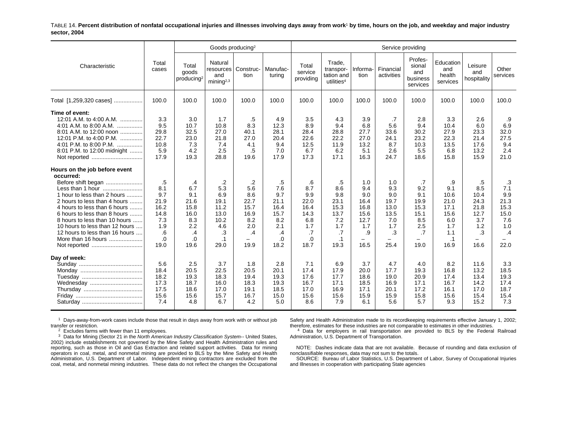TABLE 14. **Percent distribution of nonfatal occupational injuries and illnesses involving days away from work**1 **by time, hours on the job, and weekday and major industry sector, 2004**

|                                                                                                                                                                                                                                                                                                                                                                |                                                                            |                                                                                 | Goods producing <sup>2</sup>                                                       |                                                                                                       |                                                                                 |                                                                            |                                                                                   |                                                                        |                                                                       | Service providing                                                    |                                                                                     |                                                                       |                                                                      |
|----------------------------------------------------------------------------------------------------------------------------------------------------------------------------------------------------------------------------------------------------------------------------------------------------------------------------------------------------------------|----------------------------------------------------------------------------|---------------------------------------------------------------------------------|------------------------------------------------------------------------------------|-------------------------------------------------------------------------------------------------------|---------------------------------------------------------------------------------|----------------------------------------------------------------------------|-----------------------------------------------------------------------------------|------------------------------------------------------------------------|-----------------------------------------------------------------------|----------------------------------------------------------------------|-------------------------------------------------------------------------------------|-----------------------------------------------------------------------|----------------------------------------------------------------------|
| Characteristic                                                                                                                                                                                                                                                                                                                                                 | Total<br>cases                                                             | Total<br>goods<br>producing <sup>2</sup>                                        | Natural<br>resources<br>and<br>minin a <sup>2,3</sup>                              | Construc-<br>tion                                                                                     | Manufac-<br>turing                                                              | Total<br>service<br>providing                                              | Trade.<br>transpor-<br>tation and<br>utilities <sup>4</sup>                       | Informa-<br>tion                                                       | Financial<br>activities                                               | Profes-<br>sional<br>and<br>business<br>services                     | Education<br>and<br>health<br>services                                              | Leisure<br>and<br>hospitality                                         | Other<br>services                                                    |
| Total [1,259,320 cases]                                                                                                                                                                                                                                                                                                                                        | 100.0                                                                      | 100.0                                                                           | 100.0                                                                              | 100.0                                                                                                 | 100.0                                                                           | 100.0                                                                      | 100.0                                                                             | 100.0                                                                  | 100.0                                                                 | 100.0                                                                | 100.0                                                                               | 100.0                                                                 | 100.0                                                                |
| Time of event:<br>12:01 A.M. to 4:00 A.M.<br>4:01 A.M. to 8:00 A.M.<br>8:01 A.M. to 12:00 noon<br>12:01 P.M. to 4:00 P.M.<br>4:01 P.M. to 8:00 P.M.<br>.<br>8:01 P.M. to 12:00 midnight                                                                                                                                                                        | 3.3<br>9.5<br>29.8<br>22.7<br>10.8<br>5.9<br>17.9                          | 3.0<br>10.7<br>32.5<br>23.0<br>7.3<br>4.2<br>19.3                               | 1.7<br>10.8<br>27.0<br>21.8<br>7.4<br>2.5<br>28.8                                  | .5<br>8.3<br>40.1<br>27.0<br>4.1<br>.5<br>19.6                                                        | 4.9<br>12.3<br>28.1<br>20.4<br>9.4<br>7.0<br>17.9                               | 3.5<br>8.9<br>28.4<br>22.6<br>12.5<br>6.7<br>17.3                          | 4.3<br>9.4<br>28.8<br>22.2<br>11.9<br>6.2<br>17.1                                 | 3.9<br>6.8<br>27.7<br>27.0<br>13.2<br>5.1<br>16.3                      | .7<br>5.6<br>33.6<br>24.1<br>8.7<br>2.6<br>24.7                       | 2.8<br>9.4<br>30.2<br>23.2<br>10.3<br>5.5<br>18.6                    | 3.3<br>10.4<br>27.9<br>22.3<br>13.5<br>6.8<br>15.8                                  | 2.6<br>6.0<br>23.3<br>21.4<br>17.6<br>13.2<br>15.9                    | .9<br>6.9<br>32.0<br>27.5<br>9.4<br>2.4<br>21.0                      |
| Hours on the job before event<br>occurred:<br>Before shift began<br>Less than 1 hour<br>1 hour to less than 2 hours<br>2 hours to less than 4 hours<br>4 hours to less than 6 hours<br>6 hours to less than 8 hours<br>8 hours to less than 10 hours<br>10 hours to less than 12 hours<br>12 hours to less than 16 hours<br>More than 16 hours<br>Not reported | .5<br>8.1<br>9.7<br>21.9<br>16.2<br>14.8<br>7.3<br>1.9<br>.6<br>.0<br>19.0 | .4<br>6.7<br>9.1<br>21.6<br>15.8<br>16.0<br>8.3<br>2.2<br>$\cdot$<br>.0<br>19.6 | .2<br>5.3<br>6.9<br>19.1<br>11.2<br>13.0<br>10.2<br>4.6<br>.3<br>$\cdot$ 1<br>29.0 | $\cdot$<br>5.6<br>8.6<br>22.7<br>15.7<br>16.9<br>8.2<br>2.0<br>.4<br>$\overline{\phantom{0}}$<br>19.9 | .5<br>7.6<br>9.7<br>21.1<br>16.4<br>15.7<br>8.2<br>2.1<br>$\cdot$<br>.0<br>18.2 | .6<br>8.7<br>9.9<br>22.0<br>16.4<br>14.3<br>6.8<br>1.7<br>.7<br>0.<br>18.7 | .5<br>8.6<br>9.8<br>23.1<br>15.3<br>13.7<br>7.2<br>1.7<br>.7<br>$\cdot$ 1<br>19.3 | 1.0<br>9.4<br>9.0<br>16.4<br>16.8<br>15.6<br>12.7<br>1.7<br>.9<br>16.5 | 1.0<br>9.3<br>9.0<br>19.7<br>13.0<br>13.5<br>7.0<br>1.7<br>.3<br>25.4 | .7<br>9.2<br>9.1<br>19.9<br>15.3<br>15.1<br>8.5<br>2.5<br>.7<br>19.0 | .9<br>9.1<br>10.6<br>21.0<br>17.1<br>15.6<br>6.0<br>1.7<br>1.1<br>$\cdot$ 1<br>16.9 | .5<br>8.5<br>10.4<br>24.3<br>21.8<br>12.7<br>3.7<br>1.2<br>.3<br>16.6 | .3<br>7.1<br>9.9<br>21.3<br>15.3<br>15.0<br>7.6<br>1.0<br>.4<br>22.0 |
| Day of week:<br>Wednesday                                                                                                                                                                                                                                                                                                                                      | 5.6<br>18.4<br>18.2<br>17.3<br>17.5<br>15.6<br>7.4                         | 2.5<br>20.5<br>19.3<br>18.7<br>18.6<br>15.6<br>4.8                              | 3.7<br>22.5<br>18.3<br>16.0<br>17.0<br>15.7<br>6.7                                 | 1.8<br>20.5<br>19.4<br>18.3<br>19.1<br>16.7<br>4.2                                                    | 2.8<br>20.1<br>19.3<br>19.3<br>18.5<br>15.0<br>5.0                              | 7.1<br>17.4<br>17.6<br>16.7<br>17.0<br>15.6<br>8.6                         | 6.9<br>17.9<br>17.7<br>17.1<br>16.9<br>15.6<br>7.9                                | 3.7<br>20.0<br>18.6<br>18.5<br>17.1<br>15.9<br>6.1                     | 4.7<br>17.7<br>19.0<br>16.9<br>20.1<br>15.9<br>5.6                    | 4.0<br>19.3<br>20.9<br>17.1<br>17.2<br>15.8<br>5.7                   | 8.2<br>16.8<br>17.4<br>16.7<br>16.1<br>15.6<br>9.3                                  | 11.6<br>13.2<br>13.4<br>14.2<br>17.0<br>15.4<br>15.2                  | 3.3<br>18.5<br>19.3<br>17.4<br>18.7<br>15.4<br>7.3                   |

 $^1$  Days-away-from-work cases include those that result in days away from work with or without job transfer or restriction.

 $2$  Excludes farms with fewer than 11 employees.

 $3$  Data for Mining (Sector 21 in the North American Industry Classification System-- United States, 2002) include establishments not governed by the Mine Safety and Health Administration rules and reporting, such as those in Oil and Gas Extraction and related support activities. Data for mining operators in coal, metal, and nonmetal mining are provided to BLS by the Mine Safety and Health Administration, U.S. Department of Labor. Independent mining contractors are excluded from the coal, metal, and nonmetal mining industries. These data do not reflect the changes the Occupational

Safety and Health Administration made to its recordkeeping requirements effective January 1, 2002; therefore, estimates for these industries are not comparable to estimates in other industries.

<sup>4</sup> Data for employers in rail transportation are provided to BLS by the Federal Railroad Administration, U.S. Department of Transportation.

NOTE: Dashes indicate data that are not available. Because of rounding and data exclusion of nonclassifiable responses, data may not sum to the totals.